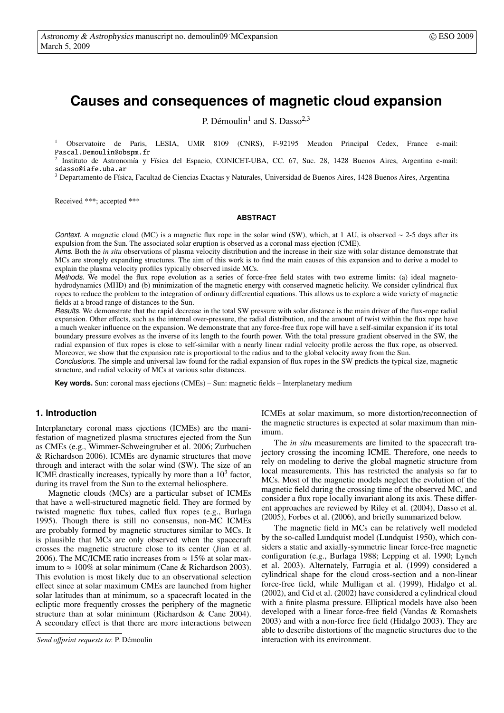# **Causes and consequences of magnetic cloud expansion**

P. Démoulin<sup>1</sup> and S. Dasso<sup>2,3</sup>

<sup>1</sup> Observatoire de Paris, LESIA, UMR 8109 (CNRS), F-92195 Meudon Principal Cedex, France e-mail: Pascal.Demoulin@obspm.fr

<sup>2</sup> Instituto de Astronomía y Física del Espacio, CONICET-UBA, CC. 67, Suc. 28, 1428 Buenos Aires, Argentina e-mail: sdasso@iafe.uba.ar

<sup>3</sup> Departamento de Física, Facultad de Ciencias Exactas y Naturales, Universidad de Buenos Aires, 1428 Buenos Aires, Argentina

Received \*\*\*; accepted \*\*\*

## **ABSTRACT**

Context. A magnetic cloud (MC) is a magnetic flux rope in the solar wind (SW), which, at 1 AU, is observed  $\sim$  2-5 days after its expulsion from the Sun. The associated solar eruption is observed as a coronal mass ejection (CME).

Aims. Both the *in situ* observations of plasma velocity distribution and the increase in their size with solar distance demonstrate that MCs are strongly expanding structures. The aim of this work is to find the main causes of this expansion and to derive a model to explain the plasma velocity profiles typically observed inside MCs.

Methods. We model the flux rope evolution as a series of force-free field states with two extreme limits: (a) ideal magnetohydrodynamics (MHD) and (b) minimization of the magnetic energy with conserved magnetic helicity. We consider cylindrical flux ropes to reduce the problem to the integration of ordinary differential equations. This allows us to explore a wide variety of magnetic fields at a broad range of distances to the Sun.

Results. We demonstrate that the rapid decrease in the total SW pressure with solar distance is the main driver of the flux-rope radial expansion. Other effects, such as the internal over-pressure, the radial distribution, and the amount of twist within the flux rope have a much weaker influence on the expansion. We demonstrate that any force-free flux rope will have a self-similar expansion if its total boundary pressure evolves as the inverse of its length to the fourth power. With the total pressure gradient observed in the SW, the radial expansion of flux ropes is close to self-similar with a nearly linear radial velocity profile across the flux rope, as observed. Moreover, we show that the expansion rate is proportional to the radius and to the global velocity away from the Sun.

Conclusions. The simple and universal law found for the radial expansion of flux ropes in the SW predicts the typical size, magnetic structure, and radial velocity of MCs at various solar distances.

**Key words.** Sun: coronal mass ejections (CMEs) – Sun: magnetic fields – Interplanetary medium

# **1. Introduction**

Interplanetary coronal mass ejections (ICMEs) are the manifestation of magnetized plasma structures ejected from the Sun as CMEs (e.g., Wimmer-Schweingruber et al. 2006; Zurbuchen & Richardson 2006). ICMEs are dynamic structures that move through and interact with the solar wind (SW). The size of an ICME drastically increases, typically by more than a  $10<sup>3</sup>$  factor, during its travel from the Sun to the external heliosphere.

Magnetic clouds (MCs) are a particular subset of ICMEs that have a well-structured magnetic field. They are formed by twisted magnetic flux tubes, called flux ropes (e.g., Burlaga 1995). Though there is still no consensus, non-MC ICMEs are probably formed by magnetic structures similar to MCs. It is plausible that MCs are only observed when the spacecraft crosses the magnetic structure close to its center (Jian et al. 2006). The MC/ICME ratio increases from  $\approx 15\%$  at solar maximum to  $\approx 100\%$  at solar minimum (Cane & Richardson 2003). This evolution is most likely due to an observational selection effect since at solar maximum CMEs are launched from higher solar latitudes than at minimum, so a spacecraft located in the ecliptic more frequently crosses the periphery of the magnetic structure than at solar minimum (Richardson & Cane 2004). A secondary effect is that there are more interactions between ICMEs at solar maximum, so more distortion/reconnection of the magnetic structures is expected at solar maximum than minimum.

The *in situ* measurements are limited to the spacecraft trajectory crossing the incoming ICME. Therefore, one needs to rely on modeling to derive the global magnetic structure from local measurements. This has restricted the analysis so far to MCs. Most of the magnetic models neglect the evolution of the magnetic field during the crossing time of the observed MC, and consider a flux rope locally invariant along its axis. These different approaches are reviewed by Riley et al. (2004), Dasso et al. (2005), Forbes et al. (2006), and briefly summarized below.

The magnetic field in MCs can be relatively well modeled by the so-called Lundquist model (Lundquist 1950), which considers a static and axially-symmetric linear force-free magnetic configuration (e.g., Burlaga 1988; Lepping et al. 1990; Lynch et al. 2003). Alternately, Farrugia et al. (1999) considered a cylindrical shape for the cloud cross-section and a non-linear force-free field, while Mulligan et al. (1999), Hidalgo et al. (2002), and Cid et al. (2002) have considered a cylindrical cloud with a finite plasma pressure. Elliptical models have also been developed with a linear force-free field (Vandas & Romashets 2003) and with a non-force free field (Hidalgo 2003). They are able to describe distortions of the magnetic structures due to the interaction with its environment.

*Send offprint requests to: P. Démoulin*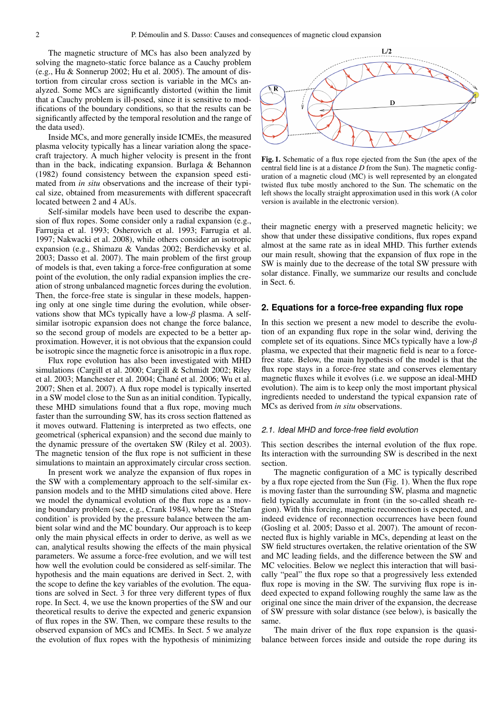The magnetic structure of MCs has also been analyzed by solving the magneto-static force balance as a Cauchy problem (e.g., Hu & Sonnerup 2002; Hu et al. 2005). The amount of distortion from circular cross section is variable in the MCs analyzed. Some MCs are significantly distorted (within the limit that a Cauchy problem is ill-posed, since it is sensitive to modifications of the boundary conditions, so that the results can be significantly affected by the temporal resolution and the range of the data used).

Inside MCs, and more generally inside ICMEs, the measured plasma velocity typically has a linear variation along the spacecraft trajectory. A much higher velocity is present in the front than in the back, indicating expansion. Burlaga & Behannon (1982) found consistency between the expansion speed estimated from *in situ* observations and the increase of their typical size, obtained from measurements with different spacecraft located between 2 and 4 AUs.

Self-similar models have been used to describe the expansion of flux ropes. Some consider only a radial expansion (e.g., Farrugia et al. 1993; Osherovich et al. 1993; Farrugia et al. 1997; Nakwacki et al. 2008), while others consider an isotropic expansion (e.g., Shimazu & Vandas 2002; Berdichevsky et al. 2003; Dasso et al. 2007). The main problem of the first group of models is that, even taking a force-free configuration at some point of the evolution, the only radial expansion implies the creation of strong unbalanced magnetic forces during the evolution. Then, the force-free state is singular in these models, happening only at one single time during the evolution, while observations show that MCs typically have a low- $\beta$  plasma. A selfsimilar isotropic expansion does not change the force balance, so the second group of models are expected to be a better approximation. However, it is not obvious that the expansion could be isotropic since the magnetic force is anisotropic in a flux rope.

Flux rope evolution has also been investigated with MHD simulations (Cargill et al. 2000; Cargill & Schmidt 2002; Riley et al. 2003; Manchester et al. 2004; Chané et al. 2006; Wu et al. 2007; Shen et al. 2007). A flux rope model is typically inserted in a SW model close to the Sun as an initial condition. Typically, these MHD simulations found that a flux rope, moving much faster than the surrounding SW, has its cross section flattened as it moves outward. Flattening is interpreted as two effects, one geometrical (spherical expansion) and the second due mainly to the dynamic pressure of the overtaken SW (Riley et al. 2003). The magnetic tension of the flux rope is not sufficient in these simulations to maintain an approximately circular cross section.

In present work we analyze the expansion of flux ropes in the SW with a complementary approach to the self-similar expansion models and to the MHD simulations cited above. Here we model the dynamical evolution of the flux rope as a moving boundary problem (see, e.g., Crank 1984), where the 'Stefan condition' is provided by the pressure balance between the ambient solar wind and the MC boundary. Our approach is to keep only the main physical effects in order to derive, as well as we can, analytical results showing the effects of the main physical parameters. We assume a force-free evolution, and we will test how well the evolution could be considered as self-similar. The hypothesis and the main equations are derived in Sect. 2, with the scope to define the key variables of the evolution. The equations are solved in Sect. 3 for three very different types of flux rope. In Sect. 4, we use the known properties of the SW and our theoretical results to derive the expected and generic expansion of flux ropes in the SW. Then, we compare these results to the observed expansion of MCs and ICMEs. In Sect. 5 we analyze the evolution of flux ropes with the hypothesis of minimizing



Fig. 1. Schematic of a flux rope ejected from the Sun (the apex of the central field line is at a distance *D* from the Sun). The magnetic configuration of a magnetic cloud (MC) is well represented by an elongated twisted flux tube mostly anchored to the Sun. The schematic on the left shows the locally straight approximation used in this work (A color version is available in the electronic version).

their magnetic energy with a preserved magnetic helicity; we show that under these dissipative conditions, flux ropes expand almost at the same rate as in ideal MHD. This further extends our main result, showing that the expansion of flux rope in the SW is mainly due to the decrease of the total SW pressure with solar distance. Finally, we summarize our results and conclude in Sect. 6.

## **2. Equations for a force-free expanding flux rope**

In this section we present a new model to describe the evolution of an expanding flux rope in the solar wind, deriving the complete set of its equations. Since MCs typically have a low- $\beta$ plasma, we expected that their magnetic field is near to a forcefree state. Below, the main hypothesis of the model is that the flux rope stays in a force-free state and conserves elementary magnetic fluxes while it evolves (i.e. we suppose an ideal-MHD evolution). The aim is to keep only the most important physical ingredients needed to understand the typical expansion rate of MCs as derived from *in situ* observations.

#### 2.1. Ideal MHD and force-free field evolution

This section describes the internal evolution of the flux rope. Its interaction with the surrounding SW is described in the next section.

The magnetic configuration of a MC is typically described by a flux rope ejected from the Sun (Fig. 1). When the flux rope is moving faster than the surrounding SW, plasma and magnetic field typically accumulate in front (in the so-called sheath region). With this forcing, magnetic reconnection is expected, and indeed evidence of reconnection occurrences have been found (Gosling et al. 2005; Dasso et al. 2007). The amount of reconnected flux is highly variable in MCs, depending at least on the SW field structures overtaken, the relative orientation of the SW and MC leading fields, and the difference between the SW and MC velocities. Below we neglect this interaction that will basically "peal" the flux rope so that a progressively less extended flux rope is moving in the SW. The surviving flux rope is indeed expected to expand following roughly the same law as the original one since the main driver of the expansion, the decrease of SW pressure with solar distance (see below), is basically the same.

The main driver of the flux rope expansion is the quasibalance between forces inside and outside the rope during its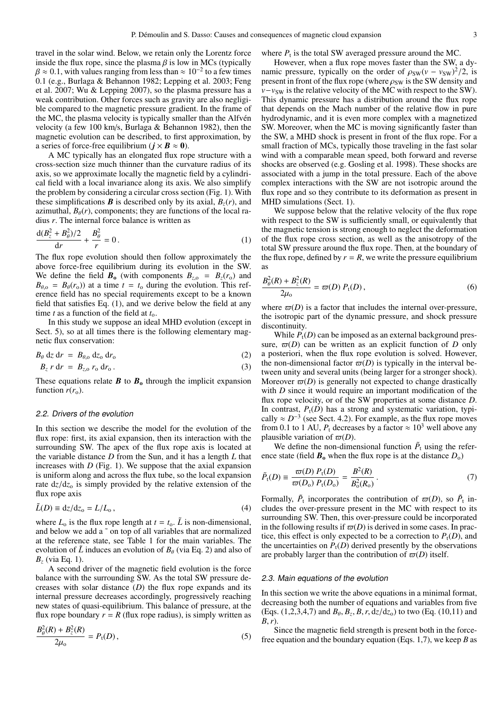travel in the solar wind. Below, we retain only the Lorentz force inside the flux rope, since the plasma  $\beta$  is low in MCs (typically  $\beta \approx 0.1$ , with values ranging from less than  $\approx 10^{-2}$  to a few times  $0.1$  (e.g. Burlaga & Behannon 1982: Lepping et al. 2003: Feng <sup>0</sup>.1 (e.g., Burlaga & Behannon 1982; Lepping et al. 2003; Feng et al. 2007; Wu & Lepping 2007), so the plasma pressure has a weak contribution. Other forces such as gravity are also negligible compared to the magnetic pressure gradient. In the frame of the MC, the plasma velocity is typically smaller than the Alfven velocity (a few 100 km/s, Burlaga & Behannon 1982), then the magnetic evolution can be described, to first approximation, by a series of force-free equilibrium ( $j \times B \approx 0$ ).

A MC typically has an elongated flux rope structure with a cross-section size much thinner than the curvature radius of its axis, so we approximate locally the magnetic field by a cylindrical field with a local invariance along its axis. We also simplify the problem by considering a circular cross section (Fig. 1). With these simplifications *B* is described only by its axial,  $B_z(r)$ , and azimuthal,  $B_{\theta}(r)$ , components; they are functions of the local radius *r*. The internal force balance is written as

$$
\frac{d(B_z^2 + B_\theta^2)/2}{dr} + \frac{B_\theta^2}{r} = 0.
$$
 (1)

The flux rope evolution should then follow approximately the above force-free equilibrium during its evolution in the SW. We define the field  $\mathbf{B}_0$  (with components  $B_{z,0} = B_z(r_0)$  and  $B_{\theta,0} = B_{\theta}(r_0)$  at a time  $t = t_0$  during the evolution. This reference field has no special requirements except to be a known field that satisfies Eq. (1), and we derive below the field at any time *t* as a function of the field at *t*o.

In this study we suppose an ideal MHD evolution (except in Sect. 5), so at all times there is the following elementary magnetic flux conservation:

$$
B_{\theta} \, \mathrm{d}z \, \mathrm{d}r = B_{\theta,0} \, \mathrm{d}z_0 \, \mathrm{d}r_0 \tag{2}
$$

$$
B_z r dr = B_{z,0} r_0 dr_0.
$$
 (3)

These equations relate  $B$  to  $B_0$  through the implicit expansion function  $r(r_0)$ .

# 2.2. Drivers of the evolution

In this section we describe the model for the evolution of the flux rope: first, its axial expansion, then its interaction with the surrounding SW. The apex of the flux rope axis is located at the variable distance *D* from the Sun, and it has a length *L* that increases with  $D$  (Fig. 1). We suppose that the axial expansion is uniform along and across the flux tube, so the local expansion rate  $dz/dz_0$  is simply provided by the relative extension of the flux rope axis

$$
\tilde{L}(D) \equiv \mathrm{d}z/\mathrm{d}z_0 = L/L_0, \qquad (4)
$$

where  $L_0$  is the flux rope length at  $t = t_0$ .  $\tilde{L}$  is non-dimensional, and below we add a ˜ on top of all variables that are normalized at the reference state, see Table 1 for the main variables. The evolution of  $\tilde{L}$  induces an evolution of  $B_{\theta}$  (via Eq. 2) and also of *B<sup>z</sup>* (via Eq. 1).

A second driver of the magnetic field evolution is the force balance with the surrounding SW. As the total SW pressure decreases with solar distance (*D*) the flux rope expands and its internal pressure decreases accordingly, progressively reaching new states of quasi-equilibrium. This balance of pressure, at the flux rope boundary  $r = R$  (flux rope radius), is simply written as

$$
\frac{B_{\theta}^{2}(R) + B_{z}^{2}(R)}{2\mu_{o}} = P_{t}(D),
$$
\n(5)

where  $P_t$  is the total SW averaged pressure around the MC.

However, when a flux rope moves faster than the SW, a dynamic pressure, typically on the order of  $\rho_{SW}(v - v_{SW})^2/2$ , is<br>present in front of the flux rope (where  $\rho_{SW}$  is the SW density and present in front of the flux rope (where  $\rho_{SW}$  is the SW density and  $v - v_{SW}$  is the relative velocity of the MC with respect to the SW). This dynamic pressure has a distribution around the flux rope that depends on the Mach number of the relative flow in pure hydrodynamic, and it is even more complex with a magnetized SW. Moreover, when the MC is moving significantly faster than the SW, a MHD shock is present in front of the flux rope. For a small fraction of MCs, typically those traveling in the fast solar wind with a comparable mean speed, both forward and reverse shocks are observed (e.g. Gosling et al. 1998). These shocks are associated with a jump in the total pressure. Each of the above complex interactions with the SW are not isotropic around the flux rope and so they contribute to its deformation as present in MHD simulations (Sect. 1).

We suppose below that the relative velocity of the flux rope with respect to the SW is sufficiently small, or equivalently that the magnetic tension is strong enough to neglect the deformation of the flux rope cross section, as well as the anisotropy of the total SW pressure around the flux rope. Then, at the boundary of the flux rope, defined by  $r = R$ , we write the pressure equilibrium as

$$
\frac{B_{\theta}^{2}(R) + B_{z}^{2}(R)}{2\mu_{0}} = \varpi(D) P_{t}(D), \qquad (6)
$$

where  $\varpi(D)$  is a factor that includes the internal over-pressure, the isotropic part of the dynamic pressure, and shock pressure discontinuity.

While  $P_t(D)$  can be imposed as an external background pressure,  $\varpi(D)$  can be written as an explicit function of *D* only a posteriori, when the flux rope evolution is solved. However, the non-dimensional factor  $\varpi(D)$  is typically in the interval between unity and several units (being larger for a stronger shock). Moreover  $\varpi(D)$  is generally not expected to change drastically with *D* since it would require an important modification of the flux rope velocity, or of the SW properties at some distance *D*. In contrast,  $P_t(D)$  has a strong and systematic variation, typically  $\approx D^{-3}$  (see Sect. 4.2). For example, as the flux rope moves from 0.1 to 1 AU,  $P_t$  decreases by a factor  $\approx 10^3$  well above any plausible variation of  $\varpi(D)$ .

We define the non-dimensional function  $\tilde{P}_t$  using the reference state (field  $\mathbf{B}_0$  when the flux rope is at the distance  $D_0$ )

$$
\tilde{P}_{t}(D) \equiv \frac{\varpi(D) P_{t}(D)}{\varpi(D_{o}) P_{t}(D_{o})} = \frac{B^{2}(R)}{B_{o}^{2}(R_{o})}.
$$
\n(7)

Formally,  $\tilde{P}_t$  incorporates the contribution of  $\varpi(D)$ , so  $\tilde{P}_t$  in-<br>cludes the over-pressure present in the MC with respect to its cludes the over-pressure present in the MC with respect to its surrounding SW. Then, this over-pressure could be incorporated in the following results if  $\varpi(D)$  is derived in some cases. In practice, this effect is only expected to be a correction to  $P_t(D)$ , and the uncertainties on  $P_t(D)$  derived presently by the observations are probably larger than the contribution of  $\varpi(D)$  itself.

# 2.3. Main equations of the evolution

In this section we write the above equations in a minimal format, decreasing both the number of equations and variables from five (Eqs. (1,2,3,4,7) and  $B_{\theta}$ ,  $B_{z}$ ,  $B$ ,  $r$ , dz/dz<sub>o</sub>) to two (Eq. (10,11) and  $B_{r}$ *<sup>B</sup>*,*r*).

Since the magnetic field strength is present both in the forcefree equation and the boundary equation (Eqs. 1,7), we keep *B* as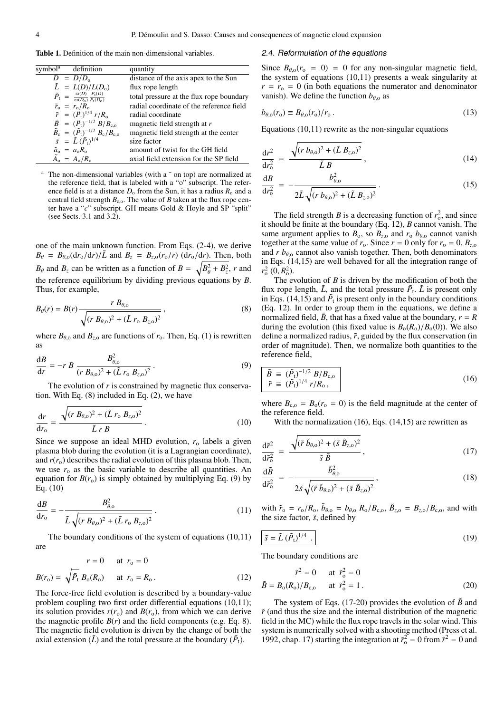Table 1. Definition of the main non-dimensional variables.

| symbol <sup>a</sup> | definition                                                                                          | quantity                                 |
|---------------------|-----------------------------------------------------------------------------------------------------|------------------------------------------|
|                     | $\ddot{D} = D/D_0$                                                                                  | distance of the axis apex to the Sun     |
|                     | $\tilde{L} = L(D)/L(D_0)$                                                                           | flux rope length                         |
|                     | $\tilde{P}_{\rm t} = \frac{\varpi(D)}{\varpi(D_{\rm o})} \frac{P_{\rm t}(D)}{P_{\rm t}(D_{\rm o})}$ | total pressure at the flux rope boundary |
|                     | $\tilde{r}_{o} = r_{o}/R_{o}$                                                                       | radial coordinate of the reference field |
|                     | $\tilde{r} = (\tilde{P}_{\rm t})^{1/4} r/R_{\rm o}$                                                 | radial coordinate                        |
|                     | $\tilde{B} = (\tilde{P}_{t})^{-1/2} B/B_{c.o.}$                                                     | magnetic field strength at r             |
|                     | $\tilde{B}_{\rm c} = (\tilde{P}_{\rm t})^{-1/2} B_{\rm c}/B_{\rm c.o.}$                             | magnetic field strength at the center    |
|                     | $\tilde{s} = \tilde{L} (\tilde{P}_{t})^{1/4}$                                                       | size factor                              |
|                     | $\tilde{a}_{o} = a_{o} R_{o}$                                                                       | amount of twist for the GH field         |
|                     | $\tilde{A}_{o} = A_{o}/R_{o}$                                                                       | axial field extension for the SP field   |
|                     |                                                                                                     |                                          |

The non-dimensional variables (with a  $\tilde{ }$  on top) are normalized at the reference field, that is labeled with a "o" subscript. The reference field is at a distance  $D_0$  from the Sun, it has a radius  $R_0$  and a central field strength  $B_{c,0}$ . The value of *B* taken at the flux rope center have a "*c*" subscript. GH means Gold & Hoyle and SP "split" (see Sects. 3.1 and 3.2).

one of the main unknown function. From Eqs. (2-4), we derive  $B_{\theta} = B_{\theta,0}(\text{d}r_{0}/\text{d}r)/\tilde{L}$  and  $B_{z} = B_{z,0}(r_{0}/r)$  (d $r_{0}/\text{d}r$ ). Then, both *B*<sup> $B_{\theta}$  and *B*<sub>z</sub> can be written as a function of *B* =  $\sqrt{B_{\theta}^2 + B_{z}^2}$ , *r* and</sup> the reference equilibrium by dividing previous equations by *B*. Thus, for example,

$$
B_{\theta}(r) = B(r) \frac{r B_{\theta,0}}{\sqrt{(r B_{\theta,0})^2 + (\tilde{L} r_0 B_{z,0})^2}},
$$
\n(8)

where  $B_{\theta,0}$  and  $B_{z,0}$  are functions of  $r_0$ . Then, Eq. (1) is rewritten as

$$
\frac{\mathrm{d}B}{\mathrm{d}r} = -r B \frac{B_{\theta,0}^2}{(r B_{\theta,0})^2 + (\tilde{L} r_0 B_{z,0})^2} \,. \tag{9}
$$

The evolution of *r* is constrained by magnetic flux conservation. With Eq. (8) included in Eq. (2), we have

$$
\frac{\mathrm{d}r}{\mathrm{d}r_{\mathrm{o}}} = \frac{\sqrt{(r \, B_{\theta,0})^2 + (\tilde{L} \, r_{\mathrm{o}} \, B_{z,0})^2}}{\tilde{L} \, r \, B} \,. \tag{10}
$$

Since we suppose an ideal MHD evolution,  $r_0$  labels a given plasma blob during the evolution (it is a Lagrangian coordinate), and  $r(r_0)$  describes the radial evolution of this plasma blob. Then, we use  $r_0$  as the basic variable to describe all quantities. An equation for  $B(r_0)$  is simply obtained by multiplying Eq. (9) by Eq. (10)

$$
\frac{dB}{dr_o} = -\frac{B_{\theta,o}^2}{\tilde{L}\sqrt{(r B_{\theta,o})^2 + (\tilde{L}r_o B_{z,o})^2}}.
$$
\n(11)

The boundary conditions of the system of equations (10,11) are

$$
r = 0 \t at ro = 0B(ro) = \sqrt{\tilde{P}_{t}} B_{0}(R_{0}) \t at ro = Ro.
$$
 (12)

The force-free field evolution is described by a boundary-value problem coupling two first order differential equations (10,11); its solution provides  $r(r_0)$  and  $B(r_0)$ , from which we can derive the magnetic profile  $B(r)$  and the field components (e.g. Eq. 8). The magnetic field evolution is driven by the change of both the axial extension ( $\tilde{L}$ ) and the total pressure at the boundary ( $\tilde{P}_t$ ).

#### 2.4. Reformulation of the equations

Since  $B_{\theta,0}(r_0 = 0) = 0$  for any non-singular magnetic field, the system of equations (10,11) presents a weak singularity at  $r = r_0 = 0$  (in both equations the numerator and denominator vanish). We define the function  $b_{\theta,0}$  as

$$
b_{\theta,0}(r_{\rm o}) \equiv B_{\theta,0}(r_{\rm o})/r_{\rm o} \,. \tag{13}
$$

Equations (10,11) rewrite as the non-singular equations

$$
\frac{\mathrm{d}r^2}{\mathrm{d}r_{\mathrm{o}}^2} = \frac{\sqrt{(r \ b_{\theta,\mathrm{o}})^2 + (\tilde{L} \ B_{z,\mathrm{o}})^2}}{\tilde{L} \ B},\tag{14}
$$

$$
\frac{\mathrm{d}B}{\mathrm{d}r_{\mathrm{o}}^{2}} = -\frac{b_{\theta,\mathrm{o}}^{2}}{2\tilde{L}\sqrt{(r b_{\theta,\mathrm{o}})^{2} + (\tilde{L} B_{z,\mathrm{o}})^{2}}}.
$$
\n(15)

The field strength *B* is a decreasing function of  $r_0^2$ , and since it should be finite at the boundary (Eq. 12), *B* cannot vanish. The same argument applies to  $B_0$ , so  $B_{z,0}$  and  $r_0$   $b_{\theta,0}$  cannot vanish together at the same value of  $r_0$ . Since  $r = 0$  only for  $r_0 = 0$ ,  $B_{z,0}$ and  $r b_{\theta,0}$  cannot also vanish together. Then, both denominators in Eqs. (14,15) are well behaved for all the integration range of  $r_o^2$  (0,  $R_o^2$ ).<br>The e

The evolution of *B* is driven by the modification of both the flux rope length,  $\tilde{L}$ , and the total pressure  $\tilde{P}_t$ .  $\tilde{L}$  is present only in Eqs. (14,15) and  $\tilde{P}_t$  is present only in the boundary conditions (Eq. 12). In order to group them in the equations, we define a normalized field,  $\tilde{B}$ , that has a fixed value at the boundary,  $r = R$ during the evolution (this fixed value is  $B_0(R_0)/B_0(0)$ ). We also define a normalized radius,  $\tilde{r}$ , guided by the flux conservation (in order of magnitude). Then, we normalize both quantities to the reference field,

$$
\begin{aligned}\n\tilde{B} &\equiv (\tilde{P}_{\rm t})^{-1/2} B / B_{\rm c,o} \\
\tilde{r} &\equiv (\tilde{P}_{\rm t})^{1/4} r / R_{\rm o}\n\end{aligned} \tag{16}
$$

where  $B_{c,0} = B_0(r_0 = 0)$  is the field magnitude at the center of the reference field.

With the normalization (16), Eqs. (14,15) are rewritten as

$$
\frac{\mathrm{d}\tilde{r}^2}{\mathrm{d}\tilde{r}_o^2} = \frac{\sqrt{(\tilde{r}\,\tilde{b}_{\theta,o})^2 + (\tilde{s}\,\tilde{B}_{z,o})^2}}{\tilde{s}\,\tilde{B}},\tag{17}
$$

$$
\frac{\mathrm{d}\tilde{B}}{\mathrm{d}\tilde{r}_{\mathrm{o}}^{2}} = -\frac{\tilde{b}_{\theta,\mathrm{o}}^{2}}{2\tilde{s}\sqrt{(\tilde{r}\,\tilde{b}_{\theta,\mathrm{o}})^{2} + (\tilde{s}\,\tilde{B}_{z,\mathrm{o}})^{2}}}\,,\tag{18}
$$

with  $\tilde{r}_o = r_o/R_o$ ,  $\tilde{b}_{\theta,o} = b_{\theta,o} R_o/B_{c,o}$ ,  $\tilde{B}_{z,o} = B_{z,o}/B_{c,o}$ , and with the size factor  $\tilde{s}$  defined by the size factor, ˜*s*, defined by

$$
\tilde{s} = \tilde{L} \left( \tilde{P}_{t} \right)^{1/4} . \tag{19}
$$

The boundary conditions are

$$
\tilde{P}^2 = 0 \quad \text{at } \tilde{r}_0^2 = 0
$$
  

$$
\tilde{B} = B_0(R_0)/B_{c,0} \quad \text{at } \tilde{r}_0^2 = 1.
$$
 (20)

The system of Eqs. (17-20) provides the evolution of  $\tilde{B}$  and  $\tilde{r}$  (and thus the size and the internal distribution of the magnetic field in the MC) while the flux rope travels in the solar wind. This system is numerically solved with a shooting method (Press et al. 1992, chap. 17) starting the integration at  $\tilde{r}_0^2 = 0$  from  $\tilde{r}^2 = 0$  and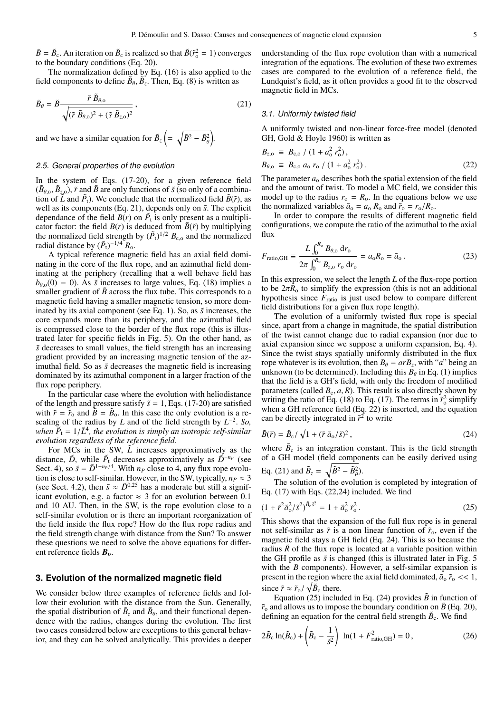$\tilde{B} = \tilde{B}_c$ . An iteration on  $\tilde{B}_c$  is realized so that  $\tilde{B}(\tilde{r}_o^2 = 1)$  converges to the boundary conditions (Eq. 20).

The normalization defined by Eq. (16) is also applied to the field components to define  $\tilde{B}_{\theta}$ ,  $\tilde{B}_{z}$ . Then, Eq. (8) is written as

$$
\tilde{B}_{\theta} = \tilde{B} \frac{\tilde{r} \,\tilde{B}_{\theta,0}}{\sqrt{(\tilde{r} \,\tilde{B}_{\theta,0})^2 + (\tilde{s} \,\tilde{B}_{z,0})^2}} \,,\tag{21}
$$

and we have a similar equation for  $\tilde{B}_z = \sqrt{\tilde{B}^2 - \tilde{B}_\theta^2}$ .

## 2.5. General properties of the evolution

In the system of Eqs. (17-20), for a given reference field  $(\tilde{B}_{\theta,0}, \tilde{B}_{z,0}), \tilde{r}$  and  $\tilde{B}$  are only functions of  $\tilde{s}$  (so only of a combination of  $\tilde{L}$  and  $\tilde{P}$ .). We conclude that the normalized field  $\tilde{B}(\tilde{r})$ , as tion of  $\tilde{L}$  and  $\tilde{P}_t$ ). We conclude that the normalized field  $\tilde{B}(\tilde{r})$ , as well as its components (Eq. 21), depends only on ˜*s*. The explicit dependance of the field  $B(r)$  on  $\tilde{P}_t$  is only present as a multiplicator factor: the field  $B(r)$  is deduced from  $\tilde{B}(\tilde{r})$  by multiplying the normalized field strength by  $(\tilde{P}_t)^{1/2}$   $B_{c,0}$  and the normalized radial distance by  $(\tilde{P}_t)^{-1/4}$  *P* radial distance by  $(\tilde{P}_t)^{-1/4} R_0$ .

A typical reference magnetic field has an axial field dominating in the core of the flux rope, and an azimuthal field dominating at the periphery (recalling that a well behave field has  $b_{\theta,0}(0) = 0$ . As  $\tilde{s}$  increases to large values, Eq. (18) implies a smaller gradient of  $\tilde{B}$  across the flux tube. This corresponds to a magnetic field having a smaller magnetic tension, so more dominated by its axial component (see Eq. 1). So, as ˜*s* increases, the core expands more than its periphery, and the azimuthal field is compressed close to the border of the flux rope (this is illustrated later for specific fields in Fig. 5). On the other hand, as *s*˜ decreases to small values, the field strength has an increasing gradient provided by an increasing magnetic tension of the azimuthal field. So as ˜*s* decreases the magnetic field is increasing dominated by its azimuthal component in a larger fraction of the flux rope periphery.

In the particular case where the evolution with heliodistance of the length and pressure satisfy  $\tilde{s} = 1$ , Eqs. (17-20) are satisfied with  $\tilde{r} = \tilde{r}_0$  and  $\tilde{B} = \tilde{B}_0$ . In this case the only evolution is a rescaling of the radius by *L* and of the field strength by  $L^{-2}$ . So, when  $\widetilde{P}_t = 1/\widetilde{L}^4$ , the evolution is simply an isotropic self-similar evolution regardless of the reference field *evolution regardless of the reference field.*

For MCs in the SW,  $\tilde{L}$  increases approximatively as the distance,  $\tilde{D}$ , while  $\tilde{P}_t$  decreases approximatively as  $\tilde{D}^{-n_p}$  (see Sect. 4), so  $\tilde{s} = \tilde{D}^{1-n_P/4}$ . With  $n_P$  close to 4, any flux rope evolution is close to self-similar. However, in the SW, typically,  $n_P \approx 3$ (see Sect. 4.2), then  $\tilde{s} \approx \tilde{D}^{0.25}$  has a moderate but still a significant evolution, e.g. a factor  $\approx$  3 for an evolution between 0.1 and 10 AU. Then, in the SW, is the rope evolution close to a self-similar evolution or is there an important reorganization of the field inside the flux rope? How do the flux rope radius and the field strength change with distance from the Sun? To answer these questions we need to solve the above equations for different reference fields  $B_0$ .

# **3. Evolution of the normalized magnetic field**

We consider below three examples of reference fields and follow their evolution with the distance from the Sun. Generally, the spatial distribution of  $\tilde{B}_z$  and  $\tilde{B}_\theta$ , and their functional depen-<br>dence with the radius, changes during the evolution. The first dence with the radius, changes during the evolution. The first two cases considered below are exceptions to this general behavior, and they can be solved analytically. This provides a deeper understanding of the flux rope evolution than with a numerical integration of the equations. The evolution of these two extremes cases are compared to the evolution of a reference field, the Lundquist's field, as it often provides a good fit to the observed magnetic field in MCs.

#### 3.1. Uniformly twisted field

A uniformly twisted and non-linear force-free model (denoted GH, Gold & Hoyle 1960) is written as

$$
B_{z,0} \equiv B_{c,0} / (1 + a_0^2 r_0^2),
$$
  
\n
$$
B_{\theta,0} \equiv B_{c,0} a_0 r_0 / (1 + a_0^2 r_0^2).
$$
\n(22)

The parameter *a*<sup>o</sup> describes both the spatial extension of the field and the amount of twist. To model a MC field, we consider this model up to the radius  $r_0 = R_0$ . In the equations below we use the normalized variables  $\tilde{a}_0 = a_0 R_0$  and  $\tilde{r}_0 = r_0 / R_0$ .

In order to compare the results of different magnetic field configurations, we compute the ratio of the azimuthal to the axial flux

$$
F_{\text{ratio,GH}} \equiv \frac{L \int_0^{R_o} B_{\theta,0} \, dr_0}{2\pi \int_0^{R_o} B_{z,0} \, r_0 \, dr_0} = a_0 R_0 = \tilde{a}_0 \,. \tag{23}
$$

In this expression, we select the length *L* of the flux-rope portion to be  $2\pi R_0$  to simplify the expression (this is not an additional hypothesis since *F*ratio is just used below to compare different field distributions for a given flux rope length).

The evolution of a uniformly twisted flux rope is special since, apart from a change in magnitude, the spatial distribution of the twist cannot change due to radial expansion (nor due to axial expansion since we suppose a uniform expansion, Eq. 4). Since the twist stays spatially uniformly distributed in the flux rope whatever is its evolution, then  $B_{\theta} = arB_z$ , with "*a*" being an unknown (to be determined). Including this  $B_z$  in Eq. (1) implies unknown (to be determined). Including this  $B_{\theta}$  in Eq. (1) implies that the field is a GH's field, with only the freedom of modified parameters (called  $B_c$ ,  $a$ ,  $R$ ). This result is also directly shown by writing the ratio of Eq. (18) to Eq. (17). The terms in  $\tilde{r}_0^2$  simplify when a GH reference field (Eq. 22) is inserted, and the equation can be directly integrated in  $\tilde{r}^2$  to write

$$
\tilde{B}(\tilde{r}) = \tilde{B}_c / \sqrt{1 + (\tilde{r}\,\tilde{a}_0/\tilde{s})^2} \,,\tag{24}
$$

where  $\tilde{B}_c$  is an integration constant. This is the field strength of a GH model (field components can be easily derived using  $\overline{1}$  $\langle \cdot \rangle$ .

Eq. (21) and 
$$
\tilde{B}_z = \sqrt{\tilde{B}^2 - \tilde{B}_{\theta}^2}
$$

The solution of the evolution is completed by integration of Eq. (17) with Eqs. (22,24) included. We find

$$
(1 + \tilde{r}^2 \tilde{a}_0^2 / \tilde{s}^2)^{\tilde{B}_c \tilde{s}^2} = 1 + \tilde{a}_0^2 \, \tilde{r}_0^2. \tag{25}
$$

This shows that the expansion of the full flux rope is in general not self-similar as  $\tilde{r}$  is a non linear function of  $\tilde{r}_0$ , even if the magnetic field stays a GH field (Eq. 24). This is so because the radius  $\tilde{R}$  of the flux rope is located at a variable position within the GH profile as ˜*s* is changed (this is illustrated later in Fig. 5 with the *B* components). However, a self-similar expansion is present in the region where the axial field dominated,  $\tilde{a}_0 \tilde{r}_0 \ll 1$ , since  $\tilde{r} \approx \tilde{r}_0 / \sqrt{\tilde{B}_c}$  there.<br>Equation (25) includes

Equation (25) included in Eq. (24) provides  $\tilde{B}$  in function of  $\tilde{r}_0$  and allows us to impose the boundary condition on  $\tilde{B}$  (Eq. 20), defining an equation for the central field strength  $\tilde{B}_{c}$ . We find

$$
2\tilde{B}_{\rm c}\ln(\tilde{B}_{\rm c}) + \left(\tilde{B}_{\rm c} - \frac{1}{\tilde{s}^2}\right)\ln(1 + F_{\rm ratio,GH}^2) = 0\,,\tag{26}
$$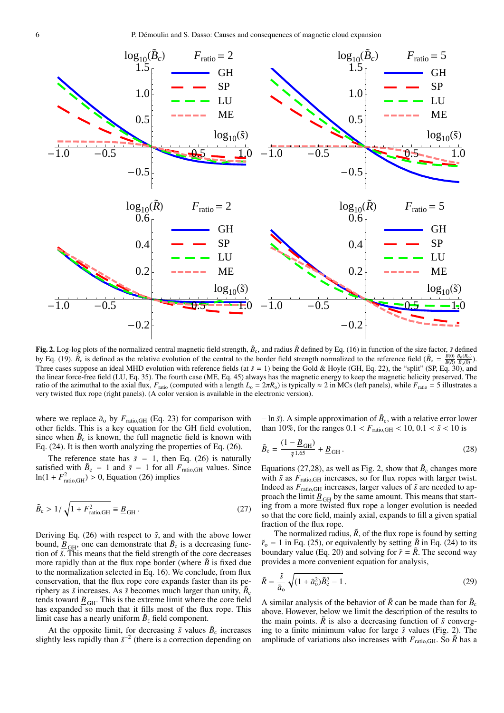

Fig. 2. Log-log plots of the normalized central magnetic field strength,  $\tilde{B}_{c}$ , and radius  $\tilde{R}$  defined by Eq. (16) in function of the size factor,  $\tilde{s}$  defined by Eq. (19).  $\tilde{B}_c$  is defined as the relative evolution of the central to the border field strength normalized to the reference field ( $\tilde{B}_c = \frac{B(0)}{B(R)} \frac{B_o(R_o)}{B_o(0)}$ ). Three cases suppose an ideal MHD evolution with reference fields (at  $\tilde{s} = 1$ ) being the Gold & Hoyle (GH, Eq. 22), the "split" (SP, Eq. 30), and the linear force-free field (LU, Eq. 35). The fourth case (ME, Eq. 45) always has the magnetic energy to keep the magnetic helicity preserved. The ratio of the azimuthal to the axial flux,  $F_{\text{ratio}}$  (computed with a length  $L_0 = 2\pi R_0$ ) is typically  $\approx 2$  in MCs (left panels), while  $F_{\text{ratio}} = 5$  illustrates a very twisted flux rope (right panels). (A color version is available in the electronic version).

where we replace  $\tilde{a}_0$  by  $F_{\text{ratio,GH}}$  (Eq. 23) for comparison with other fields. This is a key equation for the GH field evolution, since when  $\tilde{B}_c$  is known, the full magnetic field is known with Eq. (24). It is then worth analyzing the properties of Eq. (26).

The reference state has  $\tilde{s} = 1$ , then Eq. (26) is naturally satisfied with  $\tilde{B}_c = 1$  and  $\tilde{s} = 1$  for all  $F_{\text{ratio,GH}}$  values. Since  $\ln(1 + F_{\text{ratio,GH}}^2) > 0$ , Equation (26) implies

$$
\tilde{B}_{\rm c} > 1/\sqrt{1 + F_{\rm ratio,GH}^2} \equiv \underline{B}_{\rm GH} \,. \tag{27}
$$

Deriving Eq. (26) with respect to  $\tilde{s}$ , and with the above lower bound,  $\overline{B}_{\text{GH}}$ , one can demonstrate that  $\overline{B}_c$  is a decreasing function of ˜*s*. This means that the field strength of the core decreases more rapidly than at the flux rope border (where  $\tilde{B}$  is fixed due to the normalization selected in Eq. 16). We conclude, from flux conservation, that the flux rope core expands faster than its periphery as  $\tilde{s}$  increases. As  $\tilde{s}$  becomes much larger than unity,  $\tilde{B}_{c}$ tends toward  $\underline{B}_{GH}$ . This is the extreme limit where the core field has expanded so much that it fills most of the flux rope. This limit case has a nearly uniform  $\tilde{B}_z$  field component.

At the opposite limit, for decreasing  $\tilde{s}$  values  $\tilde{B}_c$  increases slightly less rapidly than  $\tilde{s}^{-2}$  (there is a correction depending on

 $- \ln \tilde{s}$ ). A simple approximation of  $\tilde{B}_c$ , with a relative error lower than 10%, for the ranges  $0.1 < F_{\text{ratio,GH}} < 10, 0.1 < \tilde{s} < 10$  is

$$
\tilde{B}_{\rm c} = \frac{(1 - \underline{B}_{\rm GH})}{\tilde{s}^{1.65}} + \underline{B}_{\rm GH} \,. \tag{28}
$$

Equations (27,28), as well as Fig. 2, show that  $\tilde{B}_c$  changes more with  $\tilde{s}$  as  $F_{\text{ratio,GH}}$  increases, so for flux ropes with larger twist. Indeed as  $F_{\text{ratio,GH}}$  increases, larger values of  $\tilde{s}$  are needed to approach the limit  $B<sub>GH</sub>$  by the same amount. This means that starting from a more twisted flux rope a longer evolution is needed so that the core field, mainly axial, expands to fill a given spatial fraction of the flux rope.

The normalized radius,  $\tilde{R}$ , of the flux rope is found by setting  $\tilde{r}_o = 1$  in Eq. (25), or equivalently by setting  $\tilde{B}$  in Eq. (24) to its boundary value (Eq. 20) and solving for  $\tilde{r} = \tilde{R}$ . The second way provides a more convenient equation for analysis,

$$
\tilde{R} = \frac{\tilde{s}}{\tilde{a}_o} \sqrt{(1 + \tilde{a}_o^2)\tilde{B}_c^2 - 1} \,. \tag{29}
$$

A similar analysis of the behavior of  $\tilde{R}$  can be made than for  $\tilde{B}_{c}$ above. However, below we limit the description of the results to the main points.  $\tilde{R}$  is also a decreasing function of  $\tilde{s}$  converging to a finite minimum value for large  $\tilde{s}$  values (Fig. 2). The amplitude of variations also increases with  $F_{\text{ratio,GH}}$ . So  $\tilde{R}$  has a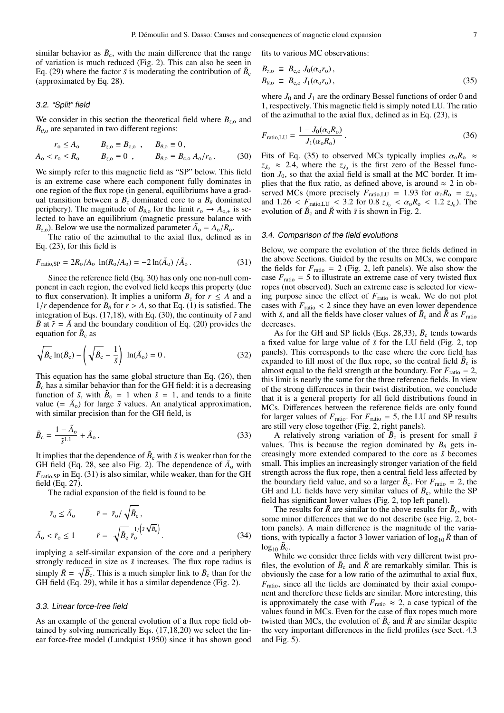similar behavior as  $\tilde{B}_c$ , with the main difference that the range of variation is much reduced (Fig. 2). This can also be seen in Eq. (29) where the factor  $\tilde{s}$  is moderating the contribution of  $\tilde{B}_{c}$ (approximated by Eq. 28).

## 3.2. "Split" field

We consider in this section the theoretical field where  $B_{z,o}$  and  $B_{\theta,0}$  are separated in two different regions:

$$
r_0 \le A_0 \t B_{z,0} \equiv B_{c,0} , \t B_{\theta,0} \equiv 0 ,
$$
  

$$
A_0 < r_0 \le R_0 \t B_{z,0} \equiv 0 , \t B_{\theta,0} \equiv B_{c,0} A_0 / r_0 .
$$
 (30)

We simply refer to this magnetic field as "SP" below. This field is an extreme case where each component fully dominates in one region of the flux rope (in general, equilibriums have a gradual transition between a  $B_z$  dominated core to a  $B_\theta$  dominated periphery). The magnitude of  $B_{\theta,0}$  for the limit  $r_0 \rightarrow A_{0,+}$  is selected to have an equilibrium (magnetic pressure balance with  $B_{z,0}$ ). Below we use the normalized parameter  $\tilde{A}_0 = A_0/R_0$ .<br>The ratio of the azimuthal to the axial flux defined

The ratio of the azimuthal to the axial flux, defined as in Eq. (23), for this field is

$$
F_{\text{ratio,SP}} = 2R_0/A_0 \ln(R_0/A_0) = -2\ln(\tilde{A}_0)/\tilde{A}_0.
$$
 (31)

Since the reference field (Eq. 30) has only one non-null component in each region, the evolved field keeps this property (due to flux conservation). It implies a uniform  $B_7$  for  $r \leq A$  and a 1/*r* dependence for  $B_\theta$  for  $r > A$ , so that Eq. (1) is satisfied. The integration of Eqs.  $(17,18)$ , with Eq.  $(30)$ , the continuity of  $\tilde{r}$  and  $\tilde{B}$  at  $\tilde{r} = \tilde{A}$  and the boundary condition of Eq. (20) provides the equation for  $\tilde{B}_c$  as

$$
\sqrt{\tilde{B}_{\rm c}}\ln(\tilde{B}_{\rm c}) - \left(\sqrt{\tilde{B}_{\rm c}} - \frac{1}{\tilde{s}}\right)\ln(\tilde{A}_{\rm o}) = 0. \tag{32}
$$

This equation has the same global structure than Eq. (26), then  $\tilde{B}_c$  has a similar behavior than for the GH field: it is a decreasing function of  $\tilde{s}$ , with  $\tilde{B}_c = 1$  when  $\tilde{s} = 1$ , and tends to a finite value (=  $\tilde{A}_0$ ) for large  $\tilde{s}$  values. An analytical approximation, with similar precision than for the GH field, is

$$
\tilde{B}_{\rm c} = \frac{1 - \tilde{A}_{\rm o}}{\tilde{s}^{1.1}} + \tilde{A}_{\rm o} \,. \tag{33}
$$

It implies that the dependence of  $\tilde{B}_c$  with  $\tilde{s}$  is weaker than for the GH field (Eq. 28, see also Fig. 2). The dependence of  $\tilde{A}_0$  with  $F_{\text{ratio,SP}}$  in Eq. (31) is also similar, while weaker, than for the GH field (Eq. 27).

The radial expansion of the field is found to be

$$
\tilde{r}_o \le \tilde{A}_o \qquad \tilde{r} = \tilde{r}_o / \sqrt{\tilde{B}_c} ,
$$
\n
$$
\tilde{A}_o < \tilde{r}_o \le 1 \qquad \tilde{r} = \sqrt{\tilde{B}_c} \tilde{r}_o^{1/(\tilde{s}\sqrt{\tilde{B}_c})} . \tag{34}
$$

implying a self-similar expansion of the core and a periphery strongly reduced in size as  $\tilde{s}$  increases. The flux rope radius is simply  $\tilde{R} = \sqrt{\tilde{B}_{c}}$ . This is a much simpler link to  $\tilde{B}_{c}$  than for the GH field (Eq. 29), while it has a similar dependence (Fig. 2).

## 3.3. Linear force-free field

*A*˜

As an example of the general evolution of a flux rope field obtained by solving numerically Eqs. (17,18,20) we select the linear force-free model (Lundquist 1950) since it has shown good fits to various MC observations:

$$
B_{z,0} \equiv B_{c,0} J_0(\alpha_0 r_0), B_{\theta,0} \equiv B_{c,0} J_1(\alpha_0 r_0),
$$
 (35)

where  $J_0$  and  $J_1$  are the ordinary Bessel functions of order 0 and 1, respectively. This magnetic field is simply noted LU. The ratio of the azimuthal to the axial flux, defined as in Eq. (23), is

$$
F_{\text{ratio},LU} = \frac{1 - J_0(\alpha_0 R_0)}{J_1(\alpha_0 R_0)}.
$$
 (36)

Fits of Eq. (35) to observed MCs typically implies  $\alpha_0 R_0 \approx$  $z_{J_0} \approx 2.4$ , where the  $z_{J_0}$  is the first zero of the Bessel function  $J_0$  so that the axial field is small at the MC border. It imtion  $J_0$ , so that the axial field is small at the MC border. It implies that the flux ratio, as defined above, is around  $\approx 2$  in observed MCs (more precisely  $F_{\text{ratio,LU}} = 1.93$  for  $\alpha_0 R_0 = z_{J_0}$ <br>and  $1.26 \le F_{\text{ratio,LU}} \le 3.2$  for  $0.8 z_{J_0} \le \alpha_0 R_0 \le 1.2 z_{J_0}$ ) Th served MCs (more precisely  $F_{\text{ratio,LU}} = 1.93$  for  $\alpha_0 R_0 = z_{J_0}$ , and  $1.26 < F_{\text{ratio,LU}} < 3.2$  for  $0.8 z_{J_0} < \alpha_0 R_0 < 1.2 z_{J_0}$ ). The evolution of  $\tilde{B}_0$  and  $\tilde{R}$  with  $\tilde{s}$  is shown in Fig. 2. evolution of  $\tilde{B}_c$  and  $\tilde{R}$  with  $\tilde{s}$  is shown in Fig. 2.

## 3.4. Comparison of the field evolutions

Below, we compare the evolution of the three fields defined in the above Sections. Guided by the results on MCs, we compare the fields for  $F_{\text{ratio}} = 2$  (Fig. 2, left panels). We also show the case  $F_{\text{ratio}} = 5$  to illustrate an extreme case of very twisted flux ropes (not observed). Such an extreme case is selected for viewing purpose since the effect of *F*ratio is weak. We do not plot cases with  $F_{\text{ratio}} < 2$  since they have an even lower dependence with  $\tilde{s}$ , and all the fields have closer values of  $\tilde{B}_c$  and  $\tilde{R}$  as  $F_{\text{ratio}}$ decreases.

As for the GH and SP fields (Eqs. 28,33),  $\tilde{B}_c$  tends towards a fixed value for large value of ˜*s* for the LU field (Fig. 2, top panels). This corresponds to the case where the core field has expanded to fill most of the flux rope, so the central field  $\tilde{B}_c$  is almost equal to the field strength at the boundary. For  $F_{\text{ratio}} = 2$ , this limit is nearly the same for the three reference fields. In view of the strong differences in their twist distribution, we conclude that it is a general property for all field distributions found in MCs. Differences between the reference fields are only found for larger values of  $F_{\text{ratio}}$ . For  $F_{\text{ratio}} = 5$ , the LU and SP results are still very close together (Fig. 2, right panels).

A relatively strong variation of  $\tilde{B}_c$  is present for small  $\tilde{s}$ values. This is because the region dominated by  $B_{\theta}$  gets increasingly more extended compared to the core as ˜*s* becomes small. This implies an increasingly stronger variation of the field strength across the flux rope, then a central field less affected by the boundary field value, and so a larger  $\tilde{B}_c$ . For  $F_{\text{ratio}} = 2$ , the GH and LU fields have very similar values of  $\tilde{B}_c$ , while the SP field has significant lower values (Fig. 2, top left panel).

The results for  $\tilde{R}$  are similar to the above results for  $\tilde{B}_c$ , with some minor differences that we do not describe (see Fig. 2, bottom panels). A main difference is the magnitude of the variations, with typically a factor 3 lower variation of  $\log_{10} R$  than of  $\log_{10} \tilde{B}_{c}$ .

While we consider three fields with very different twist profiles, the evolution of  $\tilde{B}_c$  and  $\tilde{R}$  are remarkably similar. This is obviously the case for a low ratio of the azimuthal to axial flux,  $F_{\text{ratio}}$ , since all the fields are dominated by their axial component and therefore these fields are similar. More interesting, this is approximately the case with  $F_{\text{ratio}} \approx 2$ , a case typical of the values found in MCs. Even for the case of flux ropes much more twisted than MCs, the evolution of  $\tilde{B}_c$  and  $\tilde{R}$  are similar despite the very important differences in the field profiles (see Sect. 4.3 and Fig. 5).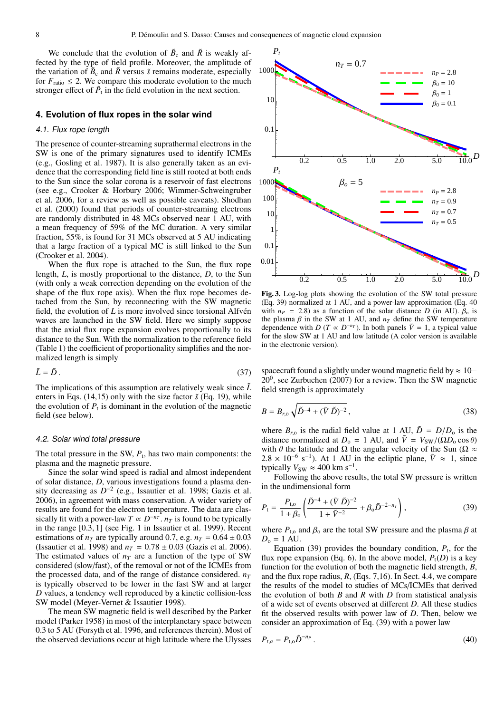We conclude that the evolution of  $\tilde{B}_c$  and  $\tilde{R}$  is weakly affected by the type of field profile. Moreover, the amplitude of the variation of  $\tilde{B}_c$  and  $\tilde{R}$  versus  $\tilde{s}$  remains moderate, especially for  $F_{\text{ratio}} \leq 2$ . We compare this moderate evolution to the much stronger effect of  $\tilde{P}_t$  in the field evolution in the next section.

#### **4. Evolution of flux ropes in the solar wind**

#### 4.1. Flux rope length

The presence of counter-streaming suprathermal electrons in the SW is one of the primary signatures used to identify ICMEs (e.g., Gosling et al. 1987). It is also generally taken as an evidence that the corresponding field line is still rooted at both ends to the Sun since the solar corona is a reservoir of fast electrons (see e.g., Crooker & Horbury 2006; Wimmer-Schweingruber et al. 2006, for a review as well as possible caveats). Shodhan et al. (2000) found that periods of counter-streaming electrons are randomly distributed in 48 MCs observed near 1 AU, with a mean frequency of 59% of the MC duration. A very similar fraction, 55%, is found for 31 MCs observed at 5 AU indicating that a large fraction of a typical MC is still linked to the Sun (Crooker et al. 2004).

When the flux rope is attached to the Sun, the flux rope length, *L*, is mostly proportional to the distance, *D*, to the Sun (with only a weak correction depending on the evolution of the shape of the flux rope axis). When the flux rope becomes detached from the Sun, by reconnecting with the SW magnetic field, the evolution of *L* is more involved since torsional Alfven waves are launched in the SW field. Here we simply suppose that the axial flux rope expansion evolves proportionally to its distance to the Sun. With the normalization to the reference field (Table 1) the coefficient of proportionality simplifies and the normalized length is simply

$$
\tilde{L} = \tilde{D} \,. \tag{37}
$$

The implications of this assumption are relatively weak since  $\tilde{L}$ enters in Eqs.  $(14,15)$  only with the size factor  $\tilde{s}$  (Eq. 19), while the evolution of  $P_t$  is dominant in the evolution of the magnetic field (see below).

#### 4.2. Solar wind total pressure

The total pressure in the SW,  $P_t$ , has two main components: the plasma and the magnetic pressure.

Since the solar wind speed is radial and almost independent of solar distance, *D*, various investigations found a plasma density decreasing as  $D^{-2}$  (e.g., Issautier et al. 1998; Gazis et al. 2006), in agreement with mass conservation. A wider variety of results are found for the electron temperature. The data are classically fit with a power-law  $T \propto D^{-n_T}$ .  $n_T$  is found to be typically in the range [0.3, 1] (see Fig. 1 in Issautier et al. 1999). Recent estimations of  $n_T$  are typically around 0.7, e.g.  $n_T = 0.64 \pm 0.03$ (Issautier et al. 1998) and  $n_T = 0.78 \pm 0.03$  (Gazis et al. 2006). The estimated values of  $n<sub>T</sub>$  are a function of the type of SW considered (slow/fast), of the removal or not of the ICMEs from the processed data, and of the range of distance considered.  $n_T$ is typically observed to be lower in the fast SW and at larger *D* values, a tendency well reproduced by a kinetic collision-less SW model (Meyer-Vernet & Issautier 1998).

The mean SW magnetic field is well described by the Parker model (Parker 1958) in most of the interplanetary space between 0.3 to 5 AU (Forsyth et al. 1996, and references therein). Most of the observed deviations occur at high latitude where the Ulysses



Fig. 3. Log-log plots showing the evolution of the SW total pressure (Eq. 39) normalized at 1 AU, and a power-law approximation (Eq. 40 with  $n_p = 2.8$ ) as a function of the solar distance *D* (in AU).  $\beta_0$  is the plasma  $\beta$  in the SW at 1 AU, and  $n<sub>T</sub>$  define the SW temperature dependence with *D* (*T*  $\propto$  *D*<sup> $-n_T$ </sup>). In both panels  $\tilde{V} = 1$ , a typical value for the slow SW at 1 AU and low latitude (A color version is available in the electronic version).

spacecraft found a slightly under wound magnetic field by  $\approx 10 20^0$ , see Zurbuchen (2007) for a review. Then the SW magnetic field strength is approximately

$$
B = B_{r,0} \sqrt{\tilde{D}^{-4} + (\tilde{V} \tilde{D})^{-2}},
$$
\n(38)

where  $B_{r,0}$  is the radial field value at 1 AU,  $\tilde{D} = D/D_0$  is the distance normalized at  $D_0 = 1$  AU, and  $\tilde{V} = V_{SW}/(\Omega D_0 \cos \theta)$ with  $\theta$  the latitude and  $\Omega$  the angular velocity of the Sun ( $\Omega \approx$  $2.8 \times 10^{-6}$  s<sup>-1</sup>). At 1 AU in the ecliptic plane,  $\tilde{V} \approx 1$ , since typically  $V_{\text{sw}} \approx 400 \text{ km s}^{-1}$ typically  $V_{SW} \approx 400$  km s<sup>-1</sup>.

Following the above results, the total SW pressure is written in the undimensional form

$$
P_{\rm t} = \frac{P_{\rm t,o}}{1 + \beta_{\rm o}} \left( \frac{\tilde{D}^{-4} + (\tilde{V} \tilde{D})^{-2}}{1 + \tilde{V}^{-2}} + \beta_{\rm o} \tilde{D}^{-2-n_{\rm T}} \right),\tag{39}
$$

where  $P_{t,o}$  and  $\beta_o$  are the total SW pressure and the plasma  $\beta$  at  $D_0 = 1$  AU.

Equation (39) provides the boundary condition,  $P_t$ , for the flux rope expansion (Eq. 6). In the above model,  $P_t(D)$  is a key function for the evolution of both the magnetic field strength, *B*, and the flux rope radius, *R*, (Eqs. 7,16). In Sect. 4.4, we compare the results of the model to studies of MCs/ICMEs that derived the evolution of both *B* and *R* with *D* from statistical analysis of a wide set of events observed at different *D*. All these studies fit the observed results with power law of *D*. Then, below we consider an approximation of Eq. (39) with a power law

$$
P_{t,a} = P_{t,0} \tilde{D}^{-n_p} \,. \tag{40}
$$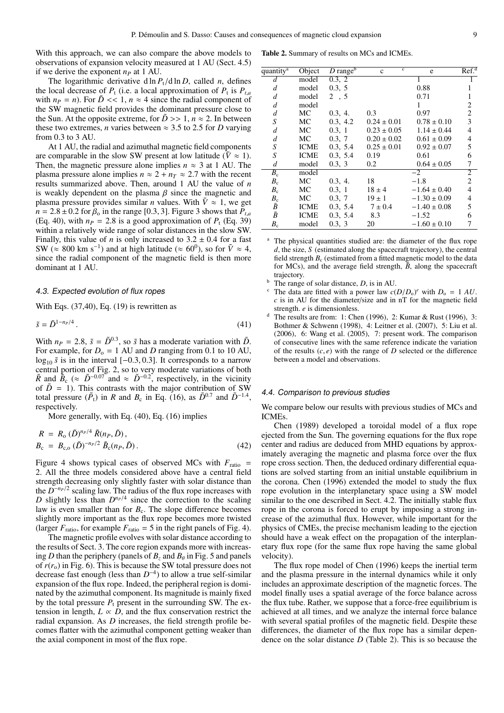With this approach, we can also compare the above models to observations of expansion velocity measured at 1 AU (Sect. 4.5) if we derive the exponent  $n_P$  at 1 AU.

The logarithmic derivative d ln  $P_t$ /d ln *D*, called *n*, defines the local decrease of  $P_t$  (i.e. a local approximation of  $P_t$  is  $P_{t,a}$ <br>with  $p_t = n$ ). For  $\tilde{D} \ll 1$ ,  $p \approx 4$  since the radial component of with  $n_p = n$ ). For  $\tilde{D} \ll 1$ ,  $n \approx 4$  since the radial component of the SW magnetic field provides the dominant pressure close to the Sun. At the opposite extreme, for  $\tilde{D} \gg 1$ ,  $n \approx 2$ . In between these two extremes, *n* varies between  $\approx 3.5$  to 2.5 for *D* varying from 0.3 to 3 AU.

At 1 AU, the radial and azimuthal magnetic field components are comparable in the slow SW present at low latitude ( $\tilde{V} \approx 1$ ). Then, the magnetic pressure alone implies  $n \approx 3$  at 1 AU. The plasma pressure alone implies  $n \approx 2 + n_T \approx 2.7$  with the recent results summarized above. Then, around 1 AU the value of *n* is weakly dependent on the plasma  $\beta$  since the magnetic and plasma pressure provides similar *n* values. With  $\tilde{V} \approx 1$ , we get  $n = 2.8 \pm 0.2$  for  $\beta_0$  in the range [0.3, 3]. Figure 3 shows that  $P_{t,a}$ (Eq. 40), with  $n_p = 2.8$  is a good approximation of  $P_t$  (Eq. 39) within a relatively wide range of solar distances in the slow SW. Finally, this value of *n* is only increased to  $3.2 \pm 0.4$  for a fast SW ( $\approx$  800 km s<sup>-1</sup>) and at high latitude ( $\approx$  60<sup>0</sup>), so for  $\tilde{V} \approx 4$ , since the radial component of the magnetic field is then more dominant at 1 AU.

#### 4.3. Expected evolution of flux ropes

With Eqs. (37,40), Eq. (19) is rewritten as

$$
\tilde{s} = \tilde{D}^{1 - n_P/4} \,. \tag{41}
$$

With  $n_P = 2.8$ ,  $\tilde{s} = \tilde{D}^{0.3}$ , so  $\tilde{s}$  has a moderate variation with  $\tilde{D}$ .<br>For example, for  $D_s = 1$  AU and *D* ranging from 0.1 to 10 AU For example, for  $D_0 = 1$  AU and *D* ranging from 0.1 to 10 AU,  $\log_{10} \tilde{s}$  is in the interval  $[-0.3, 0.3]$ . It corresponds to a narrow log<sub>10</sub>  $\tilde{s}$  is in the interval [−0.3, 0.3]. It corresponds to a narrow central portion of Fig. 2, so to very moderate variations of both  $\tilde{R}$  and  $\tilde{B}_c$  ( $\approx \tilde{D}^{-0.07}$  and  $\approx \tilde{D}^{-0.2}$ , respectively, in the vicinity of  $\tilde{D} = 1$ ). This contrasts with the major contribution of SW total pressure  $(\tilde{P}_t)$  in *R* and  $B_c$  in Eq. (16), as  $\tilde{D}^{0.7}$  and  $\tilde{D}^{-1.4}$ , respectively.

More generally, with Eq. (40), Eq. (16) implies

$$
R = R_0 (\tilde{D})^{n_p/4} \tilde{R}(n_p, \tilde{D}),
$$
  
\n
$$
B_c = B_{c,0} (\tilde{D})^{-n_p/2} \tilde{B}_c(n_p, \tilde{D}).
$$
\n(42)

Figure 4 shows typical cases of observed MCs with  $F_{\text{ratio}} =$ 2. All the three models considered above have a central field strength decreasing only slightly faster with solar distance than the  $D^{-n_P/2}$  scaling law. The radius of the flux rope increases with *D* slightly less than  $D^{n_p/4}$  since the correction to the scaling law is even smaller than for  $B_c$ . The slope difference becomes slightly more important as the flux rope becomes more twisted (larger  $F_{\text{ratio}}$ , for example  $F_{\text{ratio}} = 5$  in the right panels of Fig. 4).

The magnetic profile evolves with solar distance according to the results of Sect. 3. The core region expands more with increasing *D* than the periphery (panels of  $B_z$  and  $B_\theta$  in Fig. 5 and panels of  $r(r_0)$  in Fig. 6). This is because the SW total pressure does not decrease fast enough (less than  $D^{-4}$ ) to allow a true self-similar expansion of the flux rope. Indeed, the peripheral region is dominated by the azimuthal component. Its magnitude is mainly fixed by the total pressure  $P_t$  present in the surrounding SW. The extension in length,  $L \propto D$ , and the flux conservation restrict the radial expansion. As *D* increases, the field strength profile becomes flatter with the azimuthal component getting weaker than the axial component in most of the flux rope.

Table 2. Summary of results on MCs and ICMEs.

| quantity <sup>a</sup> | Object      | $D$ rangeb | c.<br>$\mathbf c$ | e                | Ref. <sup>d</sup>        |
|-----------------------|-------------|------------|-------------------|------------------|--------------------------|
| d                     | model       | 0.3, 2     |                   |                  |                          |
| d                     | model       | 0.3, 5     |                   | 0.88             |                          |
| d                     | model       | 2, 5       |                   | 0.71             | 1                        |
| $\overline{d}$        | model       |            |                   | 1                | 2                        |
| d                     | МC          | 0.3, 4.    | 0.3               | 0.97             | $\boldsymbol{2}$         |
| S                     | МC          | 0.3, 4.2   | $0.24 \pm 0.01$   | $0.78 \pm 0.10$  | $\overline{\mathbf{3}}$  |
| d                     | МC          | 0.3, 1     | $0.23 \pm 0.05$   | $1.14 \pm 0.44$  | $\overline{4}$           |
| $\boldsymbol{d}$      | МC          | 0.3, 7     | $0.20 \pm 0.02$   | $0.61 \pm 0.09$  | $\overline{\mathcal{L}}$ |
| S                     | <b>ICME</b> | 0.3, 5.4   | $0.25 \pm 0.01$   | $0.92 \pm 0.07$  | 5                        |
| S                     | <b>ICME</b> | 0.3, 5.4   | 0.19              | 0.61             | 6                        |
| d                     | model       | 0.3, 3     | 0.2               | $0.64 \pm 0.05$  | 7                        |
| $B_{c}$               | model       |            |                   | $-2$             | 2                        |
| $B_{c}$               | МC          | 0.3, 4.    | 18                | $-1.8$           | $\mathbf{2}$             |
| $B_{c}$               | МC          | 0.3, 1     | $18 \pm 4$        | $-1.64 \pm 0.40$ | $\overline{\mathcal{L}}$ |
| $B_{c}$               | МC          | 0.3, 7     | $19 \pm 1$        | $-1.30 \pm 0.09$ | $\overline{\mathcal{L}}$ |
| $\bar{B}$             | <b>ICME</b> | 0.3, 5.4   | $7 \pm 0.4$       | $-1.40 \pm 0.08$ | 5                        |
| $\bar{B}$             | <b>ICME</b> | 0.3, 5.4   | 8.3               | $-1.52$          | 6                        |
| $B_c$                 | model       | 0.3, 3     | 20                | $-1.60 \pm 0.10$ | 7                        |
|                       |             |            |                   |                  |                          |

The physical quantities studied are: the diameter of the flux rope *d*, the size, *S* (estimated along the spacecraft trajectory), the central field strength  $B_c$  (estimated from a fitted magnetic model to the data for MCs), and the average field strength,  $\bar{B}$ , along the spacecraft trajectory.

- $\overrightarrow{b}$  The range of solar distance, *D*, is in AU.
- <sup>c</sup> The data are fitted with a power law  $c(D/D_0)^e$  with  $D_0 = 1 \text{ AU}$ <br>*c* is in AU for the diameter/size and in nT for the magnetic field *c* is in AU for the diameter/size and in nT for the magnetic field strength. *e* is dimensionless.
- <sup>d</sup> The results are from: 1: Chen (1996), 2: Kumar & Rust (1996), 3: Bothmer & Schwenn (1998), 4: Leitner et al. (2007), 5: Liu et al. (2006), 6: Wang et al. (2005), 7: present work. The comparison of consecutive lines with the same reference indicate the variation of the results  $(c, e)$  with the range of *D* selected or the difference between a model and observations.

## 4.4. Comparison to previous studies

We compare below our results with previous studies of MCs and ICMEs.

Chen (1989) developed a toroidal model of a flux rope ejected from the Sun. The governing equations for the flux rope center and radius are deduced from MHD equations by approximately averaging the magnetic and plasma force over the flux rope cross section. Then, the deduced ordinary differential equations are solved starting from an initial unstable equilibrium in the corona. Chen (1996) extended the model to study the flux rope evolution in the interplanetary space using a SW model similar to the one described in Sect. 4.2. The initially stable flux rope in the corona is forced to erupt by imposing a strong increase of the azimuthal flux. However, while important for the physics of CMEs, the precise mechanism leading to the ejection should have a weak effect on the propagation of the interplanetary flux rope (for the same flux rope having the same global velocity).

The flux rope model of Chen (1996) keeps the inertial term and the plasma pressure in the internal dynamics while it only includes an approximate description of the magnetic forces. The model finally uses a spatial average of the force balance across the flux tube. Rather, we suppose that a force-free equilibrium is achieved at all times, and we analyze the internal force balance with several spatial profiles of the magnetic field. Despite these differences, the diameter of the flux rope has a similar dependence on the solar distance *D* (Table 2). This is so because the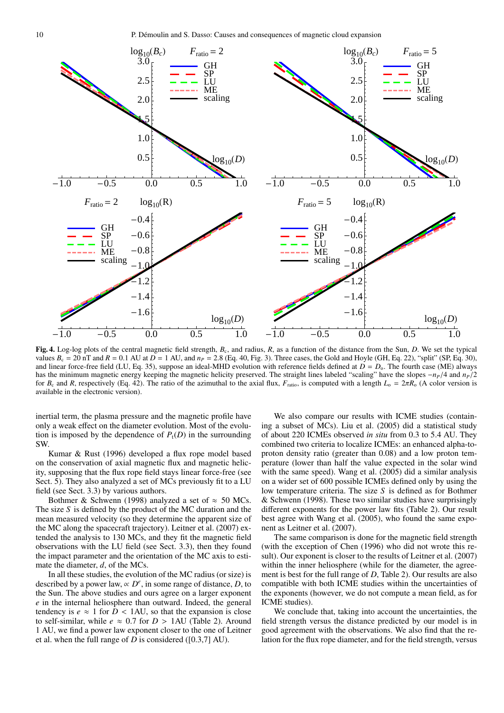

Fig. 4. Log-log plots of the central magnetic field strength, *B*<sup>c</sup> , and radius, *R*, as a function of the distance from the Sun, *D*. We set the typical values  $B_c = 20$  nT and  $R = 0.1$  AU at  $D = 1$  AU, and  $n_P = 2.8$  (Eq. 40, Fig. 3). Three cases, the Gold and Hoyle (GH, Eq. 22), "split" (SP, Eq. 30), and linear force-free field (LU, Eq. 35), suppose an ideal-MHD evolution with reference fields defined at  $D = D_0$ . The fourth case (ME) always has the minimum magnetic energy keeping the magnetic helicity preserved. The straight lines labeled "scaling" have the slopes <sup>−</sup>*n<sup>P</sup>*/4 and *<sup>n</sup><sup>P</sup>*/<sup>2</sup> for  $B_c$  and *R*, respectively (Eq. 42). The ratio of the azimuthal to the axial flux,  $F_{\text{ratio}}$ , is computed with a length  $L_o = 2\pi R_o$  (A color version is available in the electronic version).

inertial term, the plasma pressure and the magnetic profile have only a weak effect on the diameter evolution. Most of the evolution is imposed by the dependence of  $P_t(D)$  in the surrounding SW.

Kumar & Rust (1996) developed a flux rope model based on the conservation of axial magnetic flux and magnetic helicity, supposing that the flux rope field stays linear force-free (see Sect. 5). They also analyzed a set of MCs previously fit to a LU field (see Sect. 3.3) by various authors.

Bothmer & Schwenn (1998) analyzed a set of  $\approx$  50 MCs. The size *S* is defined by the product of the MC duration and the mean measured velocity (so they determine the apparent size of the MC along the spacecraft trajectory). Leitner et al. (2007) extended the analysis to 130 MCs, and they fit the magnetic field observations with the LU field (see Sect. 3.3), then they found the impact parameter and the orientation of the MC axis to estimate the diameter, *d*, of the MCs.

In all these studies, the evolution of the MC radius (or size) is described by a power law,  $\propto D^e$ , in some range of distance, *D*, to the Sun. The above studies and ours agree on a larger exponent *e* in the internal heliosphere than outward. Indeed, the general tendency is  $e \approx 1$  for  $D < 1$ AU, so that the expansion is close to self-similar, while  $e \approx 0.7$  for  $D > 1$ AU (Table 2). Around 1 AU, we find a power law exponent closer to the one of Leitner et al. when the full range of *D* is considered ([0.3,7] AU).

We also compare our results with ICME studies (containing a subset of MCs). Liu et al. (2005) did a statistical study of about 220 ICMEs observed *in situ* from 0.3 to 5.4 AU. They combined two criteria to localize ICMEs: an enhanced alpha-toproton density ratio (greater than 0.08) and a low proton temperature (lower than half the value expected in the solar wind with the same speed). Wang et al. (2005) did a similar analysis on a wider set of 600 possible ICMEs defined only by using the low temperature criteria. The size *S* is defined as for Bothmer & Schwenn (1998). These two similar studies have surprisingly different exponents for the power law fits (Table 2). Our result best agree with Wang et al. (2005), who found the same exponent as Leitner et al. (2007).

The same comparison is done for the magnetic field strength (with the exception of Chen (1996) who did not wrote this result). Our exponent is closer to the results of Leitner et al. (2007) within the inner heliosphere (while for the diameter, the agreement is best for the full range of *D*, Table 2). Our results are also compatible with both ICME studies within the uncertainties of the exponents (however, we do not compute a mean field, as for ICME studies).

We conclude that, taking into account the uncertainties, the field strength versus the distance predicted by our model is in good agreement with the observations. We also find that the relation for the flux rope diameter, and for the field strength, versus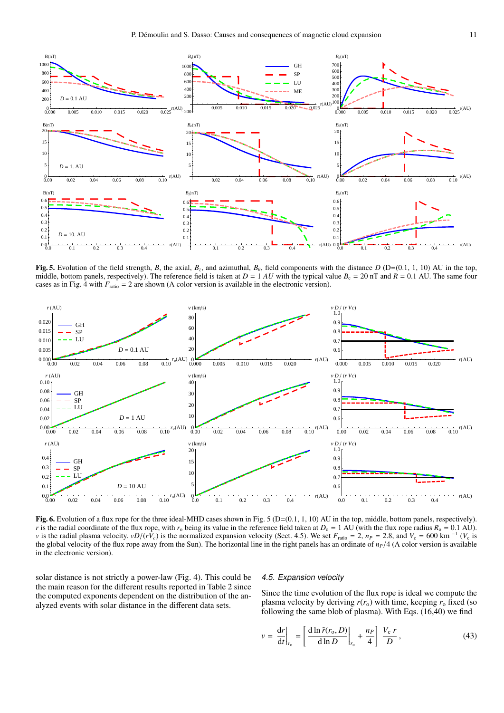

Fig. 5. Evolution of the field strength, *B*, the axial,  $B_z$ , and azimuthal,  $B_\theta$ , field components with the distance *D* (D=(0.1, 1, 10) AU in the top, middle, bottom panels, recreatively). The reference field is taken middle, bottom panels, respectively). The reference field is taken at  $D = 1 AU$  with the typical value  $B_c = 20 nT$  and  $R = 0.1 AU$ . The same four cases as in Fig. 4 with  $F_{\text{ratio}} = 2$  are shown (A color version is available in the electronic version).



Fig. 6. Evolution of a flux rope for the three ideal-MHD cases shown in Fig.  $5 (D=(0.1, 1, 10)$  AU in the top, middle, bottom panels, respectively). *r* is the radial coordinate of the flux rope, with  $r_0$  being its value in the reference field taken at  $D_0 = 1$  AU (with the flux rope radius  $R_0 = 0.1$  AU). *v* is the radial plasma velocity. *vD*/(*rV*<sub>*c*</sub>) is the normalized expansion velocity (Sect. 4.5). We set  $F_{\text{ratio}} = 2$ ,  $n_P = 2.8$ , and  $V_c = 600 \text{ km}^{-1}$  ( $V_c$  is the flux rone away from the Sun). The horizontal line in the global velocity of the flux rope away from the Sun). The horizontal line in the right panels has an ordinate of  $n_P/4$  (A color version is available in the electronic version).

solar distance is not strictly a power-law (Fig. 4). This could be the main reason for the different results reported in Table 2 since the computed exponents dependent on the distribution of the analyzed events with solar distance in the different data sets.

#### 4.5. Expansion velocity

Since the time evolution of the flux rope is ideal we compute the plasma velocity by deriving  $r(r_0)$  with time, keeping  $r_0$  fixed (so following the same blob of plasma). With Eqs. (16,40) we find

$$
v = \frac{dr}{dt}\bigg|_{r_0} = \left[\frac{d\ln \tilde{r}(r_0, D)}{d\ln D}\bigg|_{r_0} + \frac{n_P}{4}\right] \frac{V_c r}{D},\tag{43}
$$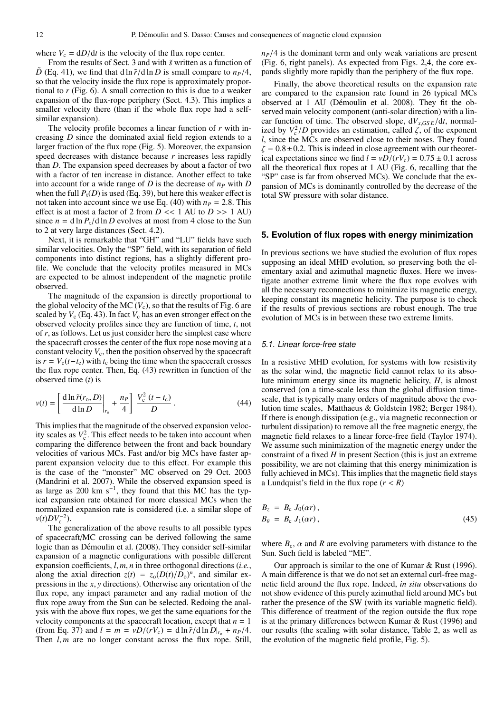where  $V_c = dD/dt$  is the velocity of the flux rope center.

From the results of Sect. 3 and with  $\tilde{s}$  written as a function of *D* (Eq. 41), we find that d ln  $\tilde{r}/d \ln D$  is small compare to  $n_P/4$ , so that the velocity inside the flux rope is approximately proportional to *r* (Fig. 6). A small correction to this is due to a weaker expansion of the flux-rope periphery (Sect. 4.3). This implies a smaller velocity there (than if the whole flux rope had a selfsimilar expansion).

The velocity profile becomes a linear function of *r* with increasing *D* since the dominated axial field region extends to a larger fraction of the flux rope (Fig. 5). Moreover, the expansion speed decreases with distance because *r* increases less rapidly than *D*. The expansion speed decreases by about a factor of two with a factor of ten increase in distance. Another effect to take into account for a wide range of *D* is the decrease of *n<sup>P</sup>* with *D* when the full  $P_t(D)$  is used (Eq. 39), but here this weaker effect is not taken into account since we use Eq. (40) with  $n_P = 2.8$ . This effect is at most a factor of 2 from  $D \ll 1$  AU to  $D \gg 1$  AU) since  $n = d \ln P_t/d \ln D$  evolves at most from 4 close to the Sun to 2 at very large distances (Sect. 4.2).

Next, it is remarkable that "GH" and "LU" fields have such similar velocities. Only the "SP" field, with its separation of field components into distinct regions, has a slightly different profile. We conclude that the velocity profiles measured in MCs are expected to be almost independent of the magnetic profile observed.

The magnitude of the expansion is directly proportional to the global velocity of the MC  $(V_c)$ , so that the results of Fig. 6 are scaled by  $V_c$  (Eq. 43). In fact  $V_c$  has an even stronger effect on the observed velocity profiles since they are function of time, *t*, not of *r*, as follows. Let us just consider here the simplest case where the spacecraft crosses the center of the flux rope nose moving at a constant velocity  $V_c$ , then the position observed by the spacecraft is  $r = V_c(t-t_c)$  with  $t_c$  being the time when the spacecraft crosses the flux rope center. Then, Eq. (43) rewritten in function of the observed time (*t*) is

$$
v(t) = \left[ \frac{\mathrm{d} \ln \tilde{r}(r_0, D)}{\mathrm{d} \ln D} \bigg|_{r_0} + \frac{n_P}{4} \right] \frac{V_c^2 (t - t_c)}{D} . \tag{44}
$$

This implies that the magnitude of the observed expansion velocity scales as  $V_c^2$ . This effect needs to be taken into account when comparing the difference between the front and back boundary velocities of various MCs. Fast and/or big MCs have faster apparent expansion velocity due to this effect. For example this is the case of the "monster" MC observed on 29 Oct. 2003 (Mandrini et al. 2007). While the observed expansion speed is as large as 200 km s<sup>-1</sup>, they found that this MC has the typical expansion rate obtained for more classical MCs when the normalized expansion rate is considered (i.e. a similar slope of  $v(t)DV_c^{-2}$ ).

The generalization of the above results to all possible types of spacecraft/MC crossing can be derived following the same logic than as Démoulin et al. (2008). They consider self-similar expansion of a magnetic configurations with possible different expansion coefficients, *<sup>l</sup>*, *<sup>m</sup>*, *<sup>n</sup>* in three orthogonal directions (*i.e.*, along the axial direction  $z(t) = z_0(D(t)/D_0)^n$ , and similar expressions in the *x* v directions). Otherwise any orientation of the pressions in the *<sup>x</sup>*, *<sup>y</sup>* directions). Otherwise any orientation of the flux rope, any impact parameter and any radial motion of the flux rope away from the Sun can be selected. Redoing the analysis with the above flux ropes, we get the same equations for the velocity components at the spacecraft location, except that  $n = 1$ (from Eq. 37) and  $l = m = vD/(rV_c) = d \ln \tilde{r} / d \ln D|_{r_o} + n_P/4$ . Then *l, m* are no longer constant across the flux rope. Still,  $n_P/4$  is the dominant term and only weak variations are present (Fig. 6, right panels). As expected from Figs. 2,4, the core expands slightly more rapidly than the periphery of the flux rope.

Finally, the above theoretical results on the expansion rate are compared to the expansion rate found in 26 typical MCs observed at 1 AU (Démoulin et al. 2008). They fit the observed main velocity component (anti-solar direction) with a linear function of time. The observed slope, d*Vx*,*GS E*/d*t*, normalized by  $V_c^2/D$  provides an estimation, called  $\zeta$ , of the exponent *l* since the MCs are observed close to their noses. They found *l*, since the MCs are observed close to their noses. They found  $\zeta = 0.8 \pm 0.2$ . This is indeed in close agreement with our theoretical expectations since we find  $l = vD/(rV_c) = 0.75 \pm 0.1$  across all the theoretical flux ropes at 1 AU (Fig. 6, recalling that the "SP" case is far from observed MCs). We conclude that the expansion of MCs is dominantly controlled by the decrease of the total SW pressure with solar distance.

# **5. Evolution of flux ropes with energy minimization**

In previous sections we have studied the evolution of flux ropes supposing an ideal MHD evolution, so preserving both the elementary axial and azimuthal magnetic fluxes. Here we investigate another extreme limit where the flux rope evolves with all the necessary reconnections to minimize its magnetic energy, keeping constant its magnetic helicity. The purpose is to check if the results of previous sections are robust enough. The true evolution of MCs is in between these two extreme limits.

#### 5.1. Linear force-free state

In a resistive MHD evolution, for systems with low resistivity as the solar wind, the magnetic field cannot relax to its absolute minimum energy since its magnetic helicity, *H*, is almost conserved (on a time-scale less than the global diffusion timescale, that is typically many orders of magnitude above the evolution time scales, Matthaeus & Goldstein 1982; Berger 1984). If there is enough dissipation (e.g., via magnetic reconnection or turbulent dissipation) to remove all the free magnetic energy, the magnetic field relaxes to a linear force-free field (Taylor 1974). We assume such minimization of the magnetic energy under the constraint of a fixed *H* in present Section (this is just an extreme possibility, we are not claiming that this energy minimization is fully achieved in MCs). This implies that the magnetic field stays a Lundquist's field in the flux rope  $(r < R)$ 

$$
B_z = B_c J_0(\alpha r),
$$
  
\n
$$
B_\theta = B_c J_1(\alpha r),
$$
\n(45)

where  $B_c$ ,  $\alpha$  and R are evolving parameters with distance to the Sun. Such field is labeled "ME".

Our approach is similar to the one of Kumar & Rust (1996). A main difference is that we do not set an external curl-free magnetic field around the flux rope. Indeed, *in situ* observations do not show evidence of this purely azimuthal field around MCs but rather the presence of the SW (with its variable magnetic field). This difference of treatment of the region outside the flux rope is at the primary differences between Kumar & Rust (1996) and our results (the scaling with solar distance, Table 2, as well as the evolution of the magnetic field profile, Fig. 5).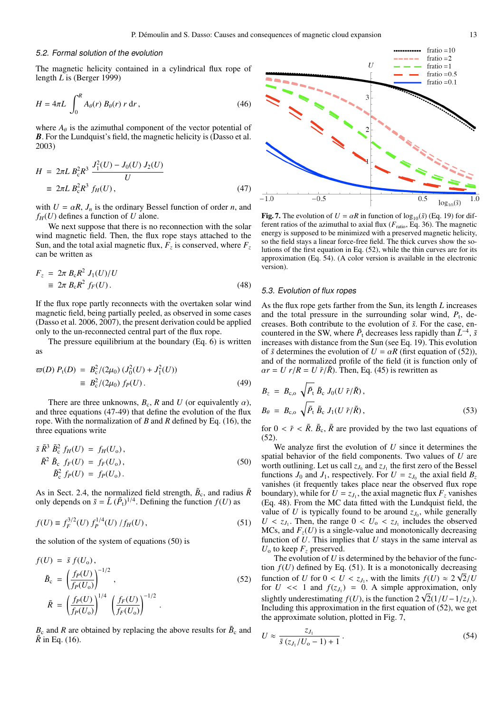## 5.2. Formal solution of the evolution

The magnetic helicity contained in a cylindrical flux rope of length *L* is (Berger 1999)

$$
H = 4\pi L \int_0^R A_\theta(r) B_\theta(r) r \, dr,
$$
\n(46)

where  $A_{\theta}$  is the azimuthal component of the vector potential of *B*. For the Lundquist's field, the magnetic helicity is (Dasso et al. 2003)

$$
H = 2\pi L B_c^2 R^3 \frac{J_1^2(U) - J_0(U) J_2(U)}{U}
$$
  

$$
\equiv 2\pi L B_c^2 R^3 f_H(U), \qquad (47)
$$

with  $U = \alpha R$ ,  $J_n$  is the ordinary Bessel function of order *n*, and  $f_H(U)$  defines a function of *U* alone.

We next suppose that there is no reconnection with the solar wind magnetic field. Then, the flux rope stays attached to the Sun, and the total axial magnetic flux,  $F_z$  is conserved, where  $F_z$ can be written as

$$
F_z = 2\pi B_c R^2 J_1(U)/U
$$
  
=  $2\pi B_c R^2 f_F(U)$ . (48)

If the flux rope partly reconnects with the overtaken solar wind magnetic field, being partially peeled, as observed in some cases (Dasso et al. 2006, 2007), the present derivation could be applied only to the un-reconnected central part of the flux rope.

The pressure equilibrium at the boundary (Eq. 6) is written as

$$
\varpi(D) P_{t}(D) = B_{c}^{2}/(2\mu_{0}) (J_{0}^{2}(U) + J_{1}^{2}(U))
$$
  
\n
$$
\equiv B_{c}^{2}/(2\mu_{0}) f_{P}(U).
$$
 (49)

There are three unknowns,  $B_c$ ,  $R$  and  $U$  (or equivalently  $\alpha$ ), and three equations (47-49) that define the evolution of the flux rope. With the normalization of *B* and *R* defined by Eq. (16), the three equations write

$$
\tilde{s} \ \tilde{R}^3 \ \tilde{B}_c^2 \ f_H(U) = f_H(U_o), \n\tilde{R}^2 \ \tilde{B}_c \ f_F(U) = f_F(U_o), \n\tilde{B}_c^2 \ f_P(U) = f_P(U_o).
$$
\n(50)

As in Sect. 2.4, the normalized field strength,  $\tilde{B}_c$ , and radius  $\tilde{R}$ only depends on  $\tilde{s} = \tilde{L} (\tilde{P}_{t})^{1/4}$ . Defining the function  $f(U)$  as

$$
f(U) \equiv f_F^{3/2}(U) f_P^{1/4}(U) / f_H(U), \qquad (51)
$$

the solution of the system of equations (50) is

$$
f(U) = \tilde{s} f(U_0),
$$
  
\n
$$
\tilde{B}_c = \left(\frac{f_P(U)}{f_P(U_0)}\right)^{-1/2},
$$
  
\n
$$
\tilde{R} = \left(\frac{f_P(U)}{f_P(U_0)}\right)^{1/4} \left(\frac{f_F(U)}{f_F(U_0)}\right)^{-1/2}.
$$
\n(52)

 $B_c$  and *R* are obtained by replacing the above results for  $\tilde{B}_c$  and  $\ddot{R}$  in Eq. (16).



Fig. 7. The evolution of  $U = \alpha R$  in function of  $\log_{10}(\tilde{s})$  (Eq. 19) for different ratios of the azimuthal to axial flux  $(F_{\text{ratio}}, Eq. 36)$ . The magnetic energy is supposed to be minimized with a preserved magnetic helicity, so the field stays a linear force-free field. The thick curves show the solutions of the first equation in Eq. (52), while the thin curves are for its approximation (Eq. 54). (A color version is available in the electronic version).

#### 5.3. Evolution of flux ropes

As the flux rope gets farther from the Sun, its length *L* increases and the total pressure in the surrounding solar wind,  $P_t$ , decreases. Both contribute to the evolution of ˜*s*. For the case, encountered in the SW, where  $\tilde{P}_t$  decreases less rapidly than  $\tilde{L}^{-4}$ ,  $\tilde{s}$ increases with distance from the Sun (see Eq. 19). This evolution of  $\tilde{s}$  determines the evolution of  $U = \alpha R$  (first equation of (52)), and of the normalized profile of the field (it is function only of  $\alpha r = U r/R = U \tilde{r}/\tilde{R}$ . Then, Eq. (45) is rewritten as

$$
B_z = B_{c,0} \sqrt{\tilde{P}_t} \tilde{B}_c J_0(U \tilde{r}/\tilde{R}),
$$
  
\n
$$
B_{\theta} = B_{c,0} \sqrt{\tilde{P}_t} \tilde{B}_c J_1(U \tilde{r}/\tilde{R}),
$$
\n(53)

for  $0 < \tilde{r} < \tilde{R}$ .  $\tilde{B}_c$ ,  $\tilde{R}$  are provided by the two last equations of (52) (52).

We analyze first the evolution of *U* since it determines the spatial behavior of the field components. Two values of *U* are worth outlining. Let us call  $z_{J_0}$  and  $z_{J_1}$  the first zero of the Bessel functions  $J_0$  and  $J_1$ , respectively. For  $U = z_{J_0}$  the axial field  $B_z$ vanishes (it frequently takes place near the observed flux rope boundary), while for  $U = z_{J_1}$ , the axial magnetic flux  $F_z$  vanishes (Eq. 48). From the MC data fitted with the Lundquist field, the value of *U* is typically found to be around  $z_{J_0}$ , while generally  $U < z_{J_1}$ . Then, the range  $0 < U_0 < z_{J_1}$  includes the observed MCs and  $F(U)$  is a single-value and monotonically decreasing MCs, and  $F_z(U)$  is a single-value and monotonically decreasing function of *U*. This implies that *U* stays in the same interval as  $U_0$  to keep  $F_z$  preserved.

The evolution of *U* is determined by the behavior of the function  $f(U)$  defined by Eq. (51). It is a monotonically decreasing function of *U* for  $0 < U < z_{J_1}$ , with the limits  $f(U) \approx 2\sqrt{2}/U$ <br>for  $U \ll 1$  and  $f(z_1) = 0$ . A simple approximation only for  $U \ll 1$  and  $f(z_{J_1}) = 0$ . A simple approximation, only slightly underestimating  $f(I_1)$  is the function  $2\sqrt{2}(1/I_1 - 1/z_1)$ slightly underestimating *f*(*U*), is the function  $2\sqrt{2}(1/U - 1/z_J)$ .<br>Including this approximation in the first equation of (52) we get Including this approximation in the first equation of (52), we get the approximate solution, plotted in Fig. 7,

$$
U \approx \frac{z_{J_1}}{\tilde{s}(z_{J_1}/U_0 - 1) + 1} \,. \tag{54}
$$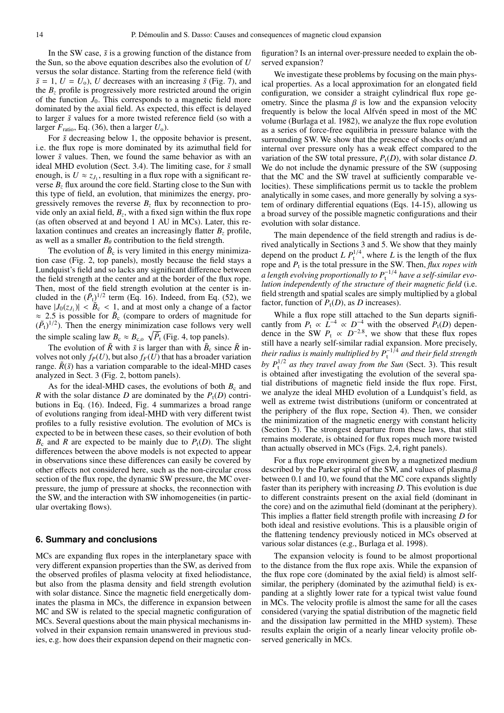In the SW case,  $\tilde{s}$  is a growing function of the distance from the Sun, so the above equation describes also the evolution of *U* versus the solar distance. Starting from the reference field (with  $\tilde{s} = 1, U = U_0$ , *U* decreases with an increasing  $\tilde{s}$  (Fig. 7), and the  $B_z$  profile is progressively more restricted around the origin of the function  $J_0$ . This corresponds to a magnetic field more dominated by the axial field. As expected, this effect is delayed to larger ˜*s* values for a more twisted reference field (so with a larger  $F_{\text{ratio}}$ , Eq. (36), then a larger  $U_0$ ).

For  $\tilde{s}$  decreasing below 1, the opposite behavior is present, i.e. the flux rope is more dominated by its azimuthal field for lower  $\tilde{s}$  values. Then, we found the same behavior as with an ideal MHD evolution (Sect. 3.4). The limiting case, for  $\tilde{s}$  small enough, is  $U \approx z_{J_1}$ , resulting in a flux rope with a significant reverse  $B_7$  flux around the core field. Starting close to the Sun with this type of field, an evolution, that minimizes the energy, progressively removes the reverse  $B_7$  flux by reconnection to provide only an axial field,  $B_z$ , with a fixed sign within the flux rope (as often observed at and beyond 1 AU in MCs). Later, this relaxation continues and creates an increasingly flatter  $B_7$  profile, as well as a smaller  $B_\theta$  contribution to the field strength.

The evolution of  $\tilde{B}_c$  is very limited in this energy minimization case (Fig. 2, top panels), mostly because the field stays a Lundquist's field and so lacks any significant difference between the field strength at the center and at the border of the flux rope. Then, most of the field strength evolution at the center is included in the  $(\tilde{P}_t)^{1/2}$  term (Eq. 16). Indeed, from Eq. (52), we have  $|J_0(z)I_1| \leq \tilde{B}_c < 1$ , and at most only a change of a factor  $\approx 2.5$  is possible for  $\tilde{B}_c$  (compare to orders of magnitude for  $\approx$  2.5 is possible for  $\tilde{B}_c$  (compare to orders of magnitude for  $(\tilde{P}_c)^{1/2}$ ). Then the energy minimization case follows very well  $(\tilde{P}_t)^{1/2}$ ). Then the energy minimization case follows very well the simple scaling law  $B_c \approx B_{c,0} \sqrt{\tilde{P}_t}$  (Fig. 4, top panels).

The evolution of  $\tilde{R}$  with  $\tilde{s}$  is larger than with  $\tilde{B}_c$  since  $\tilde{R}$  involves not only  $f_P(U)$ , but also  $f_F(U)$  that has a broader variation range.  $\tilde{R}(\tilde{s})$  has a variation comparable to the ideal-MHD cases analyzed in Sect. 3 (Fig. 2, bottom panels).

As for the ideal-MHD cases, the evolutions of both  $B<sub>c</sub>$  and *R* with the solar distance *D* are dominated by the  $P_t(D)$  contributions in Eq. (16). Indeed, Fig. 4 summarizes a broad range of evolutions ranging from ideal-MHD with very different twist profiles to a fully resistive evolution. The evolution of MCs is expected to be in between these cases, so their evolution of both  $B_c$  and *R* are expected to be mainly due to  $P_t(D)$ . The slight differences between the above models is not expected to appear in observations since these differences can easily be covered by other effects not considered here, such as the non-circular cross section of the flux rope, the dynamic SW pressure, the MC overpressure, the jump of pressure at shocks, the reconnection with the SW, and the interaction with SW inhomogeneities (in particular overtaking flows).

# **6. Summary and conclusions**

MCs are expanding flux ropes in the interplanetary space with very different expansion properties than the SW, as derived from the observed profiles of plasma velocity at fixed heliodistance, but also from the plasma density and field strength evolution with solar distance. Since the magnetic field energetically dominates the plasma in MCs, the difference in expansion between MC and SW is related to the special magnetic configuration of MCs. Several questions about the main physical mechanisms involved in their expansion remain unanswered in previous studies, e.g. how does their expansion depend on their magnetic configuration? Is an internal over-pressure needed to explain the observed expansion?

We investigate these problems by focusing on the main physical properties. As a local approximation for an elongated field configuration, we consider a straight cylindrical flux rope geometry. Since the plasma  $\beta$  is low and the expansion velocity frequently is below the local Alfvén speed in most of the MC volume (Burlaga et al. 1982), we analyze the flux rope evolution as a series of force-free equilibria in pressure balance with the surrounding SW. We show that the presence of shocks or/and an internal over pressure only has a weak effect compared to the variation of the SW total pressure,  $P_t(D)$ , with solar distance *D*. We do not include the dynamic pressure of the SW (supposing that the MC and the SW travel at sufficiently comparable velocities). These simplifications permit us to tackle the problem analytically in some cases, and more generally by solving a system of ordinary differential equations (Eqs. 14-15), allowing us a broad survey of the possible magnetic configurations and their evolution with solar distance.

The main dependence of the field strength and radius is derived analytically in Sections 3 and 5. We show that they mainly depend on the product  $L P_t^{1/4}$ , where *L* is the length of the flux rope and  $P_t$  is the total pressure in the SW. Then, *flux ropes with a length evolving proportionally to*  $P_t^{-1/4}$  *have a self-similar evolution independently of the structure of their magnetic field* (i.e. field strength and spatial scales are simply multiplied by a global factor, function of  $P_t(D)$ , as *D* increases).

While a flux rope still attached to the Sun departs significantly from  $P_t \propto \hat{L}^{-4} \propto D^{-4}$  with the observed  $\hat{P}_t(D)$  dependence in the SW  $P_t \propto D^{-2.8}$ , we show that these flux ropes still have a nearly self-similar radial expansion. More precisely, *their radius is mainly multiplied by*  $P_t^{-1/4}$  *and their field strength* by  $P_t^{1/2}$  *as they travel away from the Sun* (Sect. 3). This result is obtained after investigating the evolution of the several spatial distributions of magnetic field inside the flux rope. First, we analyze the ideal MHD evolution of a Lundquist's field, as well as extreme twist distributions (uniform or concentrated at the periphery of the flux rope, Section 4). Then, we consider the minimization of the magnetic energy with constant helicity (Section 5). The strongest departure from these laws, that still remains moderate, is obtained for flux ropes much more twisted than actually observed in MCs (Figs. 2,4, right panels).

For a flux rope environment given by a magnetized medium described by the Parker spiral of the SW, and values of plasma  $\beta$ between 0.1 and 10, we found that the MC core expands slightly faster than its periphery with increasing *D*. This evolution is due to different constraints present on the axial field (dominant in the core) and on the azimuthal field (dominant at the periphery). This implies a flatter field strength profile with increasing *D* for both ideal and resistive evolutions. This is a plausible origin of the flattening tendency previously noticed in MCs observed at various solar distances (e.g., Burlaga et al. 1998).

The expansion velocity is found to be almost proportional to the distance from the flux rope axis. While the expansion of the flux rope core (dominated by the axial field) is almost selfsimilar, the periphery (dominated by the azimuthal field) is expanding at a slightly lower rate for a typical twist value found in MCs. The velocity profile is almost the same for all the cases considered (varying the spatial distribution of the magnetic field and the dissipation law permitted in the MHD system). These results explain the origin of a nearly linear velocity profile observed generically in MCs.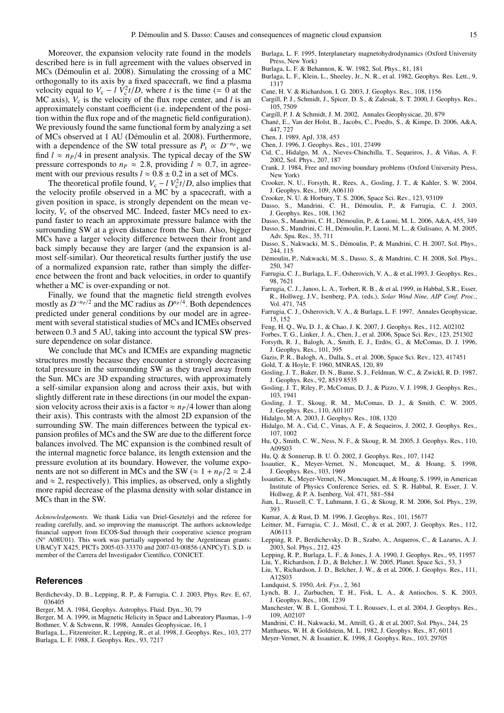Moreover, the expansion velocity rate found in the models described here is in full agreement with the values observed in MCs (Démoulin et al. 2008). Simulating the crossing of a MC orthogonally to its axis by a fixed spacecraft, we find a plasma velocity equal to  $V_c - l \dot{V}_c^2 t/D$ , where *t* is the time (= 0 at the MC axis)  $V_c$  is the velocity of the flux rope center and *l* is an MC axis),  $V_c$  is the velocity of the flux rope center, and *l* is an approximately constant coefficient (i.e. independent of the position within the flux rope and of the magnetic field configuration). We previously found the same functional form by analyzing a set of MCs observed at 1 AU (Démoulin et al. 2008). Furthermore, with a dependence of the SW total pressure as  $P_t \propto D^{-n_P}$ , we find  $l \approx n_P/4$  in present analysis. The typical decay of the SW pressure corresponds to  $n_P \approx 2.8$ , providing  $l \approx 0.7$ , in agreement with our previous results  $l \approx 0.8 \pm 0.2$  in a set of MCs.

The theoretical profile found,  $V_c - l V_c^2 t/D$ , also implies that velocity profile observed in a MC by a spacecraft with a the velocity profile observed in a MC by a spacecraft, with a given position in space, is strongly dependent on the mean velocity,  $V_c$  of the observed MC. Indeed, faster MCs need to expand faster to reach an approximate pressure balance with the surrounding SW at a given distance from the Sun. Also, bigger MCs have a larger velocity difference between their front and back simply because they are larger (and the expansion is almost self-similar). Our theoretical results further justify the use of a normalized expansion rate, rather than simply the difference between the front and back velocities, in order to quantify whether a MC is over-expanding or not.

Finally, we found that the magnetic field strength evolves mostly as  $D^{-n_P/2}$  and the MC radius as  $D^{n_P/4}$ . Both dependences predicted under general conditions by our model are in agreement with several statistical studies of MCs and ICMEs observed between 0.3 and 5 AU, taking into account the typical SW pressure dependence on solar distance.

We conclude that MCs and ICMEs are expanding magnetic structures mostly because they encounter a strongly decreasing total pressure in the surrounding SW as they travel away from the Sun. MCs are 3D expanding structures, with approximately a self-similar expansion along and across their axis, but with slightly different rate in these directions (in our model the expansion velocity across their axis is a factor  $\approx n_P/4$  lower than along their axis). This contrasts with the almost 2D expansion of the surrounding SW. The main differences between the typical expansion profiles of MCs and the SW are due to the different force balances involved. The MC expansion is the combined result of the internal magnetic force balance, its length extension and the pressure evolution at its boundary. However, the volume exponents are not so different in MCs and the SW ( $\approx 1 + n_P/2 \approx 2.4$ and  $\approx$  2, respectively). This implies, as observed, only a slightly more rapid decrease of the plasma density with solar distance in MCs than in the SW.

*Acknowledgements.* We thank Lidia van Driel-Gesztelyi and the referee for reading carefully, and, so improving the manuscript. The authors acknowledge financial support from ECOS-Sud through their cooperative science program (N*<sup>o</sup>* A08U01). This work was partially supported by the Argentinean grants: UBACyT X425, PICTs 2005-03-33370 and 2007-03-00856 (ANPCyT). S.D. is member of the Carrera del Investigador Científico, CONICET.

### **References**

- Berdichevsky, D. B., Lepping, R. P., & Farrugia, C. J. 2003, Phys. Rev. E, 67, 036405
- Berger, M. A. 1984, Geophys. Astrophys. Fluid. Dyn., 30, 79
- Berger, M. A. 1999, in Magnetic Helicity in Space and Laboratory Plasmas, 1–9 Bothmer, V. & Schwenn, R. 1998, Annales Geophysicae, 16, 1
- Burlaga, L., Fitzenreiter, R., Lepping, R., et al. 1998, J. Geophys. Res., 103, 277 Burlaga, L. F. 1988, J. Geophys. Res., 93, 7217
- Burlaga, L. F. 1995, Interplanetary magnetohydrodynamics (Oxford University Press, New York)
- Burlaga, L. F. & Behannon, K. W. 1982, Sol. Phys., 81, 181
- Burlaga, L. F., Klein, L., Sheeley, Jr., N. R., et al. 1982, Geophys. Res. Lett., 9, 1317
- Cane, H. V. & Richardson, I. G. 2003, J. Geophys. Res., 108, 1156
- Cargill, P. J., Schmidt, J., Spicer, D. S., & Zalesak, S. T. 2000, J. Geophys. Res., 105, 7509
- Cargill, P. J. & Schmidt, J. M. 2002, Annales Geophysicae, 20, 879
- Chane, E., Van der Holst, B., Jacobs, C., Poedts, S., & Kimpe, D. 2006, A&A, ´ 447, 727
- Chen, J. 1989, ApJ, 338, 453
- Chen, J. 1996, J. Geophys. Res., 101, 27499
- Cid, C., Hidalgo, M. A., Nieves-Chinchilla, T., Sequeiros, J., & Viñas, A. F. 2002, Sol. Phys., 207, 187
- Crank, J. 1984, Free and moving boundary problems (Oxford University Press, New York)
- Crooker, N. U., Forsyth, R., Rees, A., Gosling, J. T., & Kahler, S. W. 2004, J. Geophys. Res., 109, A06110
- Crooker, N. U. & Horbury, T. S. 2006, Space Sci. Rev., 123, 93109
- Dasso, S., Mandrini, C. H., Démoulin, P., & Farrugia, C. J. 2003, J. Geophys. Res., 108, 1362
- Dasso, S., Mandrini, C. H., Démoulin, P., & Luoni, M. L. 2006, A&A, 455, 349 Dasso, S., Mandrini, C. H., Démoulin, P., Luoni, M. L., & Gulisano, A. M. 2005,
- Adv. Spa. Res., 35, 711 Dasso, S., Nakwacki, M. S., Démoulin, P., & Mandrini, C. H. 2007, Sol. Phys.,
- 244, 115
- Démoulin, P., Nakwacki, M. S., Dasso, S., & Mandrini, C. H. 2008, Sol. Phys., 250, 347
- Farrugia, C. J., Burlaga, L. F., Osherovich, V. A., & et al.. 1993, J. Geophys. Res., 98, 7621
- Farrugia, C. J., Janoo, L. A., Torbert, R. B., & et al. 1999, in Habbal, S.R., Esser, R., Hollweg, J.V., Isenberg, P.A. (eds.), *Solar Wind Nine, AIP Conf. Proc.*, Vol. 471, 745
- Farrugia, C. J., Osherovich, V. A., & Burlaga, L. F. 1997, Annales Geophysicae, 15, 152
- Feng, H. Q., Wu, D. J., & Chao, J. K. 2007, J. Geophys. Res., 112, A02102
- Forbes, T. G., Linker, J. A., Chen, J., et al. 2006, Space Sci. Rev., 123, 251302
- Forsyth, R. J., Balogh, A., Smith, E. J., Erdös, G., & McComas, D. J. 1996, J. Geophys. Res., 101, 395
- Gazis, P. R., Balogh, A., Dalla, S., et al. 2006, Space Sci. Rev., 123, 417451
- Gold, T. & Hoyle, F. 1960, MNRAS, 120, 89
- Gosling, J. T., Baker, D. N., Bame, S. J., Feldman, W. C., & Zwickl, R. D. 1987, J. Geophys. Res., 92, 8519 8535
- Gosling, J. T., Riley, P., McComas, D. J., & Pizzo, V. J. 1998, J. Geophys. Res., 103, 1941
- Gosling, J. T., Skoug, R. M., McComas, D. J., & Smith, C. W. 2005, J. Geophys. Res., 110, A01107
- Hidalgo, M. A. 2003, J. Geophys. Res., 108, 1320
- Hidalgo, M. A., Cid, C., Vinas, A. F., & Sequeiros, J. 2002, J. Geophys. Res., 107, 1002
- Hu, Q., Smith, C. W., Ness, N. F., & Skoug, R. M. 2005, J. Geophys. Res., 110, A09S03
- Hu, Q. & Sonnerup, B. U. Ö. 2002, J. Geophys. Res., 107, 1142
- Issautier, K., Meyer-Vernet, N., Moncuquet, M., & Hoang, S. 1998, J. Geophys. Res., 103, 1969
- Issautier, K., Meyer-Vernet, N., Moncuquet, M., & Hoang, S. 1999, in American Institute of Physics Conference Series, ed. S. R. Habbal, R. Esser, J. V. Hollweg, & P. A. Isenberg, Vol. 471, 581–584
- Jian, L., Russell, C. T., Luhmann, J. G., & Skoug, R. M. 2006, Sol. Phys., 239, 393
- Kumar, A. & Rust, D. M. 1996, J. Geophys. Res., 101, 15677
- Leitner, M., Farrugia, C. J., Möstl, C., & et al. 2007, J. Geophys. Res., 112, A06113
- Lepping, R. P., Berdichevsky, D. B., Szabo, A., Arqueros, C., & Lazarus, A. J. 2003, Sol. Phys., 212, 425
- Lepping, R. P., Burlaga, L. F., & Jones, J. A. 1990, J. Geophys. Res., 95, 11957
- Liu, Y., Richardson, J. D., & Belcher, J. W. 2005, Planet. Space Sci., 53, 3
- Liu, Y., Richardson, J. D., Belcher, J. W., & et al. 2006, J. Geophys. Res., 111, A12S03
- Lundquist, S. 1950, *Ark. Fys.*, 2, 361
- Lynch, B. J., Zurbuchen, T. H., Fisk, L. A., & Antiochos, S. K. 2003, J. Geophys. Res., 108, 1239
- Manchester, W. B. I., Gombosi, T. I., Roussev, I., et al. 2004, J. Geophys. Res., 109, A02107
- Mandrini, C. H., Nakwacki, M., Attrill, G., & et al. 2007, Sol. Phys., 244, 25
- Matthaeus, W. H. & Goldstein, M. L. 1982, J. Geophys. Res., 87, 6011
- Meyer-Vernet, N. & Issautier, K. 1998, J. Geophys. Res., 103, 29705